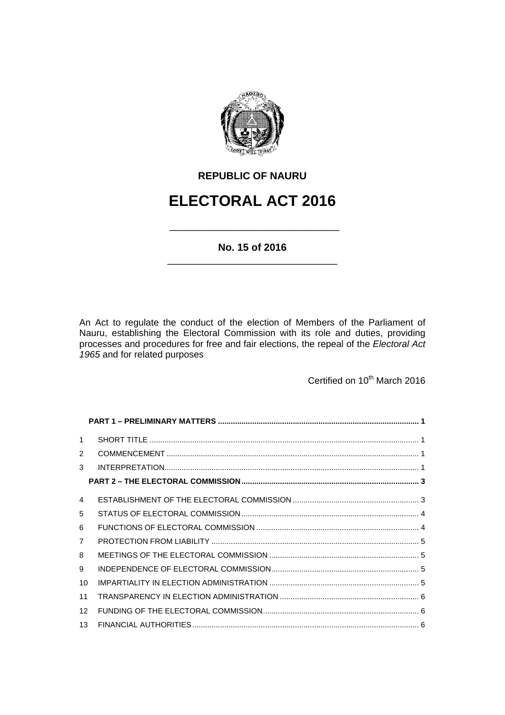

# **REPUBLIC OF NAURU**

# **ELECTORAL ACT 2016**

\_\_\_\_\_\_\_\_\_\_\_\_\_\_\_\_\_\_\_\_\_\_\_\_\_\_\_\_\_\_

# **No. 15 of 2016**  \_\_\_\_\_\_\_\_\_\_\_\_\_\_\_\_\_\_\_\_\_\_\_\_\_\_\_\_\_\_

An Act to regulate the conduct of the election of Members of the Parliament of Nauru, establishing the Electoral Commission with its role and duties, providing processes and procedures for free and fair elections, the repeal of the *Electoral Act 1965* and for related purposes

Certified on 10<sup>th</sup> March 2016

| $\mathbf{1}$           |  |
|------------------------|--|
| 2                      |  |
| 3                      |  |
|                        |  |
| $\boldsymbol{\Lambda}$ |  |
| 5                      |  |
| 6                      |  |
| $\overline{7}$         |  |
| 8                      |  |
| 9                      |  |
| 10                     |  |
| 11                     |  |
| 12                     |  |
| 13                     |  |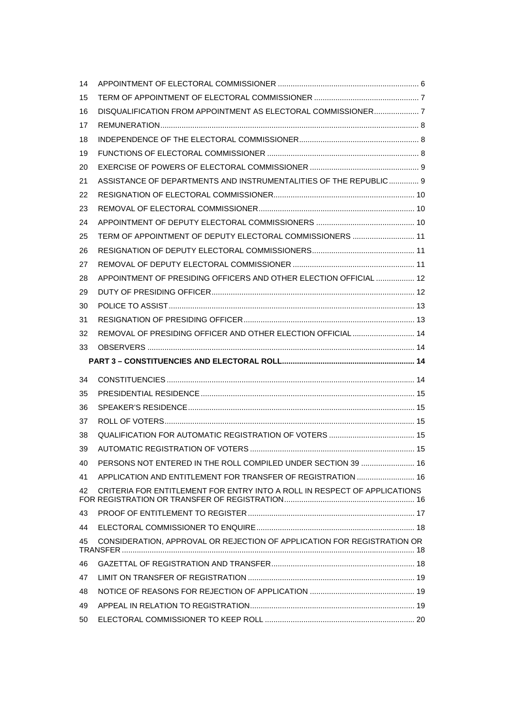| 14 |                                                                           |  |
|----|---------------------------------------------------------------------------|--|
| 15 |                                                                           |  |
| 16 | DISQUALIFICATION FROM APPOINTMENT AS ELECTORAL COMMISSIONER 7             |  |
| 17 |                                                                           |  |
| 18 |                                                                           |  |
| 19 |                                                                           |  |
| 20 |                                                                           |  |
| 21 | ASSISTANCE OF DEPARTMENTS AND INSTRUMENTALITIES OF THE REPUBLIC 9         |  |
| 22 |                                                                           |  |
| 23 |                                                                           |  |
| 24 |                                                                           |  |
| 25 | TERM OF APPOINTMENT OF DEPUTY ELECTORAL COMMISSIONERS  11                 |  |
| 26 |                                                                           |  |
| 27 |                                                                           |  |
| 28 | APPOINTMENT OF PRESIDING OFFICERS AND OTHER ELECTION OFFICIAL  12         |  |
| 29 |                                                                           |  |
| 30 |                                                                           |  |
| 31 |                                                                           |  |
| 32 | REMOVAL OF PRESIDING OFFICER AND OTHER ELECTION OFFICIAL  14              |  |
| 33 |                                                                           |  |
|    |                                                                           |  |
|    |                                                                           |  |
| 34 |                                                                           |  |
| 35 |                                                                           |  |
| 36 |                                                                           |  |
| 37 |                                                                           |  |
| 38 |                                                                           |  |
| 39 |                                                                           |  |
| 40 | PERSONS NOT ENTERED IN THE ROLL COMPILED UNDER SECTION 39  16             |  |
| 41 | APPLICATION AND ENTITLEMENT FOR TRANSFER OF REGISTRATION  16              |  |
| 42 | CRITERIA FOR ENTITLEMENT FOR ENTRY INTO A ROLL IN RESPECT OF APPLICATIONS |  |
| 43 |                                                                           |  |
| 44 |                                                                           |  |
| 45 | CONSIDERATION, APPROVAL OR REJECTION OF APPLICATION FOR REGISTRATION OR   |  |
| 46 |                                                                           |  |
| 47 |                                                                           |  |
| 48 |                                                                           |  |
| 49 |                                                                           |  |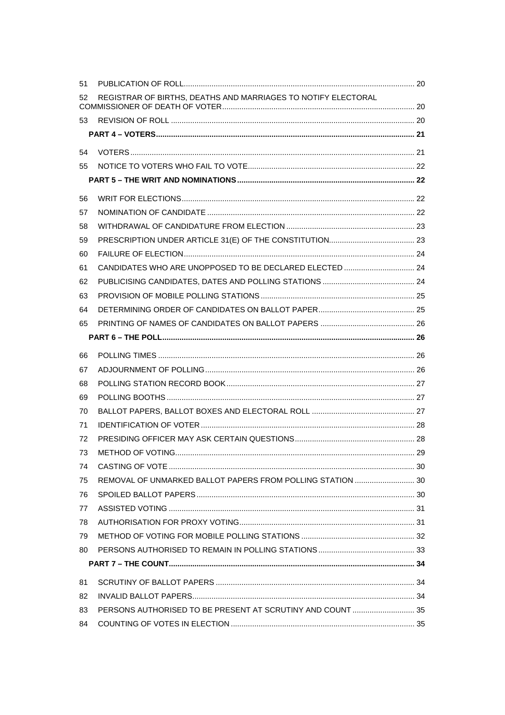| 51 |                                                               |  |
|----|---------------------------------------------------------------|--|
| 52 | REGISTRAR OF BIRTHS, DEATHS AND MARRIAGES TO NOTIFY ELECTORAL |  |
| 53 |                                                               |  |
|    |                                                               |  |
| 54 |                                                               |  |
| 55 |                                                               |  |
|    |                                                               |  |
| 56 |                                                               |  |
| 57 |                                                               |  |
| 58 |                                                               |  |
| 59 |                                                               |  |
| 60 |                                                               |  |
| 61 | CANDIDATES WHO ARE UNOPPOSED TO BE DECLARED ELECTED  24       |  |
| 62 |                                                               |  |
| 63 |                                                               |  |
| 64 |                                                               |  |
| 65 |                                                               |  |
|    |                                                               |  |
| 66 |                                                               |  |
| 67 |                                                               |  |
| 68 |                                                               |  |
| 69 |                                                               |  |
| 70 |                                                               |  |
| 71 |                                                               |  |
| 72 |                                                               |  |
| 73 |                                                               |  |
| 74 |                                                               |  |
| 75 | REMOVAL OF UNMARKED BALLOT PAPERS FROM POLLING STATION  30    |  |
| 76 |                                                               |  |
| 77 |                                                               |  |
| 78 |                                                               |  |
| 79 |                                                               |  |
| 80 |                                                               |  |
|    |                                                               |  |
| 81 |                                                               |  |
| 82 |                                                               |  |
| 83 | PERSONS AUTHORISED TO BE PRESENT AT SCRUTINY AND COUNT  35    |  |
| 84 |                                                               |  |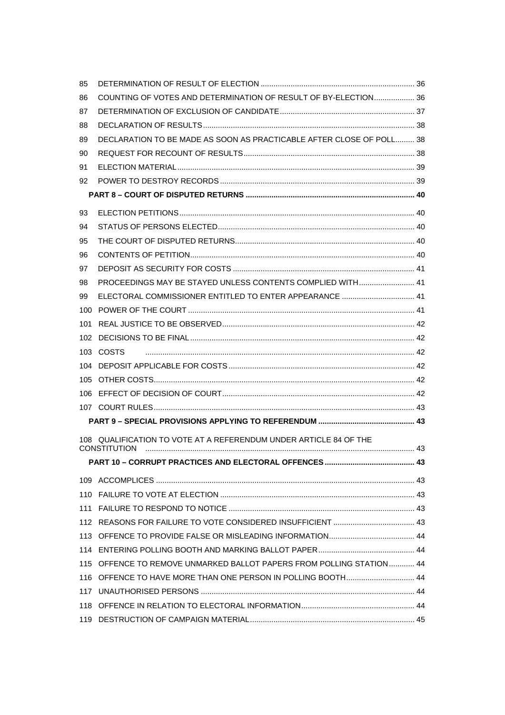| 85  |                                                                      |  |
|-----|----------------------------------------------------------------------|--|
| 86  | COUNTING OF VOTES AND DETERMINATION OF RESULT OF BY-ELECTION 36      |  |
| 87  |                                                                      |  |
| 88  |                                                                      |  |
| 89  | DECLARATION TO BE MADE AS SOON AS PRACTICABLE AFTER CLOSE OF POLL 38 |  |
| 90  |                                                                      |  |
| 91  |                                                                      |  |
| 92  |                                                                      |  |
|     |                                                                      |  |
| 93  |                                                                      |  |
| 94  |                                                                      |  |
| 95  |                                                                      |  |
| 96  |                                                                      |  |
| 97  |                                                                      |  |
| 98  | PROCEEDINGS MAY BE STAYED UNLESS CONTENTS COMPLIED WITH 41           |  |
| 99  | ELECTORAL COMMISSIONER ENTITLED TO ENTER APPEARANCE  41              |  |
| 100 |                                                                      |  |
| 101 |                                                                      |  |
|     |                                                                      |  |
|     | 103 COSTS                                                            |  |
|     |                                                                      |  |
|     |                                                                      |  |
|     |                                                                      |  |
|     |                                                                      |  |
|     |                                                                      |  |
|     | 108 QUALIFICATION TO VOTE AT A REFERENDUM UNDER ARTICLE 84 OF THE    |  |
|     | <b>CONSTITUTION</b>                                                  |  |
|     |                                                                      |  |
|     |                                                                      |  |
|     |                                                                      |  |
|     |                                                                      |  |
|     |                                                                      |  |
|     |                                                                      |  |
|     |                                                                      |  |
|     | 115 OFFENCE TO REMOVE UNMARKED BALLOT PAPERS FROM POLLING STATION 44 |  |
|     |                                                                      |  |
|     |                                                                      |  |
|     |                                                                      |  |
|     |                                                                      |  |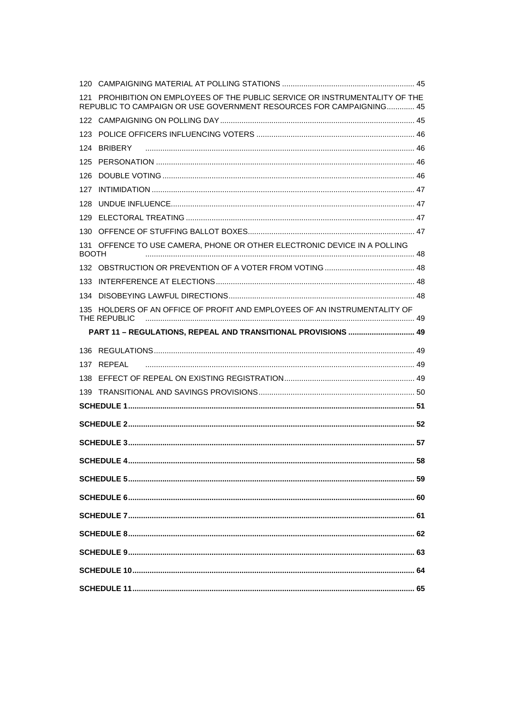|              | 121 PROHIBITION ON EMPLOYEES OF THE PUBLIC SERVICE OR INSTRUMENTALITY OF THE<br>REPUBLIC TO CAMPAIGN OR USE GOVERNMENT RESOURCES FOR CAMPAIGNING 45 |  |
|--------------|-----------------------------------------------------------------------------------------------------------------------------------------------------|--|
|              |                                                                                                                                                     |  |
|              |                                                                                                                                                     |  |
|              | 124 BRIBERY                                                                                                                                         |  |
|              |                                                                                                                                                     |  |
|              |                                                                                                                                                     |  |
| 127          |                                                                                                                                                     |  |
|              |                                                                                                                                                     |  |
|              |                                                                                                                                                     |  |
|              |                                                                                                                                                     |  |
| <b>BOOTH</b> | 131 OFFENCE TO USE CAMERA, PHONE OR OTHER ELECTRONIC DEVICE IN A POLLING                                                                            |  |
|              |                                                                                                                                                     |  |
|              |                                                                                                                                                     |  |
|              |                                                                                                                                                     |  |
|              | 135 HOLDERS OF AN OFFICE OF PROFIT AND EMPLOYEES OF AN INSTRUMENTALITY OF<br>THE REPUBLIC                                                           |  |
|              | PART 11 - REGULATIONS, REPEAL AND TRANSITIONAL PROVISIONS  49                                                                                       |  |
|              |                                                                                                                                                     |  |
|              | 137 REPEAL                                                                                                                                          |  |
|              |                                                                                                                                                     |  |
|              |                                                                                                                                                     |  |
|              |                                                                                                                                                     |  |
|              |                                                                                                                                                     |  |
|              |                                                                                                                                                     |  |
|              |                                                                                                                                                     |  |
|              |                                                                                                                                                     |  |
|              |                                                                                                                                                     |  |
|              |                                                                                                                                                     |  |
|              |                                                                                                                                                     |  |
|              |                                                                                                                                                     |  |
|              |                                                                                                                                                     |  |
|              |                                                                                                                                                     |  |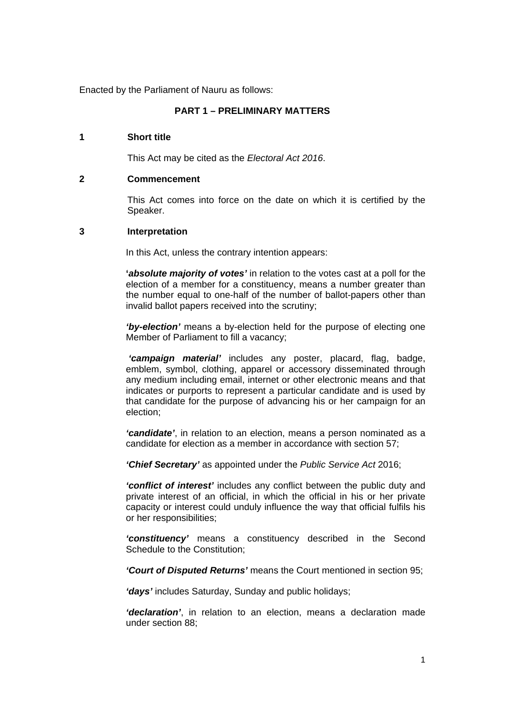Enacted by the Parliament of Nauru as follows:

# **PART 1 – PRELIMINARY MATTERS**

#### **1 Short title**

This Act may be cited as the *Electoral Act 2016*.

#### **2 Commencement**

This Act comes into force on the date on which it is certified by the Speaker.

## **3 Interpretation**

In this Act, unless the contrary intention appears:

**'***absolute majority of votes'* in relation to the votes cast at a poll for the election of a member for a constituency, means a number greater than the number equal to one-half of the number of ballot-papers other than invalid ballot papers received into the scrutiny;

*'by-election'* means a by-election held for the purpose of electing one Member of Parliament to fill a vacancy;

 *'campaign material'* includes any poster, placard, flag, badge, emblem, symbol, clothing, apparel or accessory disseminated through any medium including email, internet or other electronic means and that indicates or purports to represent a particular candidate and is used by that candidate for the purpose of advancing his or her campaign for an election;

*'candidate'*, in relation to an election, means a person nominated as a candidate for election as a member in accordance with section 57;

*'Chief Secretary'* as appointed under the *Public Service Act* 2016;

*'conflict of interest'* includes any conflict between the public duty and private interest of an official, in which the official in his or her private capacity or interest could unduly influence the way that official fulfils his or her responsibilities;

*'constituency'* means a constituency described in the Second Schedule to the Constitution;

*'Court of Disputed Returns'* means the Court mentioned in section 95;

*'days'* includes Saturday, Sunday and public holidays;

*'declaration'*, in relation to an election, means a declaration made under section 88;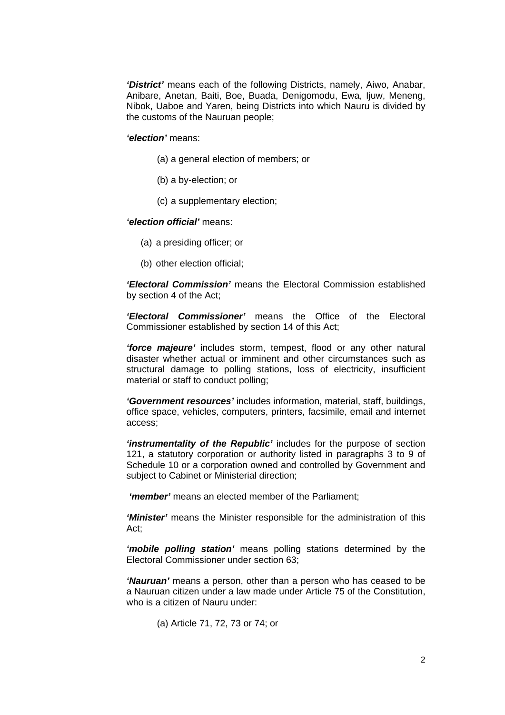*'District'* means each of the following Districts, namely, Aiwo, Anabar, Anibare, Anetan, Baiti, Boe, Buada, Denigomodu, Ewa, Ijuw, Meneng, Nibok, Uaboe and Yaren, being Districts into which Nauru is divided by the customs of the Nauruan people;

#### *'election'* means:

- (a) a general election of members; or
- (b) a by-election; or
- (c) a supplementary election;

#### *'election official'* means:

- (a) a presiding officer; or
- (b) other election official;

*'Electoral Commission'* means the Electoral Commission established by section 4 of the Act;

*'Electoral Commissioner'* means the Office of the Electoral Commissioner established by section 14 of this Act;

*'force majeure'* includes storm, tempest, flood or any other natural disaster whether actual or imminent and other circumstances such as structural damage to polling stations, loss of electricity, insufficient material or staff to conduct polling;

*'Government resources'* includes information, material, staff, buildings, office space, vehicles, computers, printers, facsimile, email and internet access;

*'instrumentality of the Republic'* includes for the purpose of section 121, a statutory corporation or authority listed in paragraphs 3 to 9 of Schedule 10 or a corporation owned and controlled by Government and subject to Cabinet or Ministerial direction;

 *'member'* means an elected member of the Parliament;

*'Minister'* means the Minister responsible for the administration of this Act;

*'mobile polling station'* means polling stations determined by the Electoral Commissioner under section 63;

*'Nauruan'* means a person, other than a person who has ceased to be a Nauruan citizen under a law made under Article 75 of the Constitution, who is a citizen of Nauru under:

(a) Article 71, 72, 73 or 74; or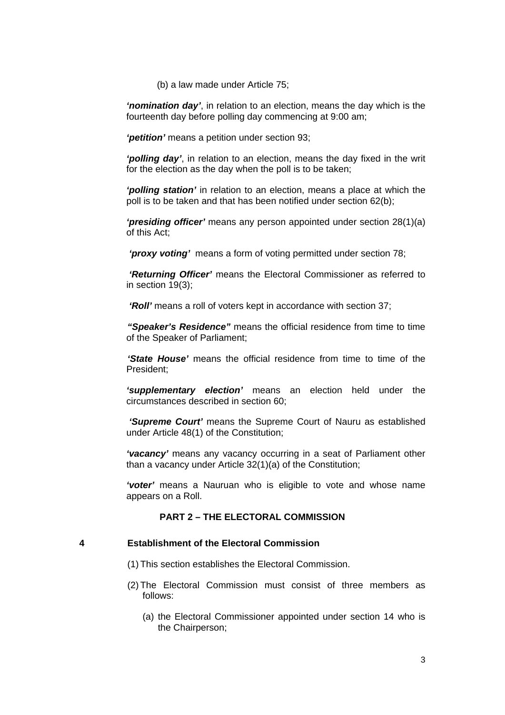(b) a law made under Article 75;

*'nomination day'*, in relation to an election, means the day which is the fourteenth day before polling day commencing at 9:00 am;

*'petition'* means a petition under section 93;

*'polling day'*, in relation to an election, means the day fixed in the writ for the election as the day when the poll is to be taken;

*'polling station'* in relation to an election, means a place at which the poll is to be taken and that has been notified under section 62(b);

*'presiding officer'* means any person appointed under section 28(1)(a) of this Act;

 *'proxy voting'* means a form of voting permitted under section 78;

 *'Returning Officer'* means the Electoral Commissioner as referred to in section 19(3);

 *'Roll'* means a roll of voters kept in accordance with section 37;

*"Speaker's Residence"* means the official residence from time to time of the Speaker of Parliament;

*'State House'* means the official residence from time to time of the President;

*'supplementary election'* means an election held under the circumstances described in section 60;

 *'Supreme Court'* means the Supreme Court of Nauru as established under Article 48(1) of the Constitution;

*'vacancy'* means any vacancy occurring in a seat of Parliament other than a vacancy under Article 32(1)(a) of the Constitution;

*'voter'* means a Nauruan who is eligible to vote and whose name appears on a Roll.

## **PART 2 – THE ELECTORAL COMMISSION**

# **4 Establishment of the Electoral Commission**

- (1) This section establishes the Electoral Commission.
- (2) The Electoral Commission must consist of three members as follows:
	- (a) the Electoral Commissioner appointed under section 14 who is the Chairperson;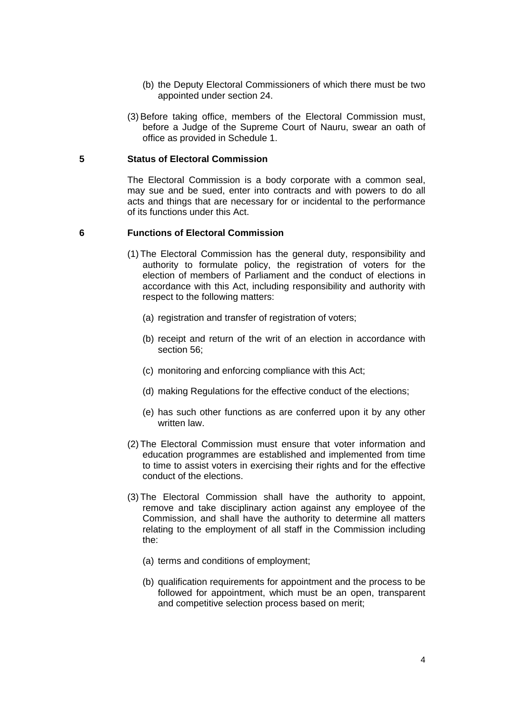- (b) the Deputy Electoral Commissioners of which there must be two appointed under section 24.
- (3) Before taking office, members of the Electoral Commission must, before a Judge of the Supreme Court of Nauru, swear an oath of office as provided in Schedule 1.

#### **5 Status of Electoral Commission**

The Electoral Commission is a body corporate with a common seal, may sue and be sued, enter into contracts and with powers to do all acts and things that are necessary for or incidental to the performance of its functions under this Act.

## **6 Functions of Electoral Commission**

- (1) The Electoral Commission has the general duty, responsibility and authority to formulate policy, the registration of voters for the election of members of Parliament and the conduct of elections in accordance with this Act, including responsibility and authority with respect to the following matters:
	- (a) registration and transfer of registration of voters;
	- (b) receipt and return of the writ of an election in accordance with section 56;
	- (c) monitoring and enforcing compliance with this Act;
	- (d) making Regulations for the effective conduct of the elections;
	- (e) has such other functions as are conferred upon it by any other written law.
- (2) The Electoral Commission must ensure that voter information and education programmes are established and implemented from time to time to assist voters in exercising their rights and for the effective conduct of the elections.
- (3) The Electoral Commission shall have the authority to appoint, remove and take disciplinary action against any employee of the Commission, and shall have the authority to determine all matters relating to the employment of all staff in the Commission including the:
	- (a) terms and conditions of employment;
	- (b) qualification requirements for appointment and the process to be followed for appointment, which must be an open, transparent and competitive selection process based on merit;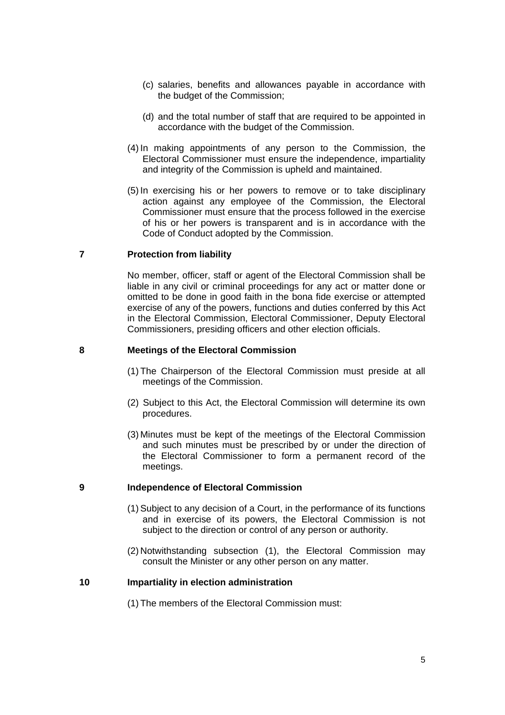- (c) salaries, benefits and allowances payable in accordance with the budget of the Commission;
- (d) and the total number of staff that are required to be appointed in accordance with the budget of the Commission.
- (4) In making appointments of any person to the Commission, the Electoral Commissioner must ensure the independence, impartiality and integrity of the Commission is upheld and maintained.
- (5) In exercising his or her powers to remove or to take disciplinary action against any employee of the Commission, the Electoral Commissioner must ensure that the process followed in the exercise of his or her powers is transparent and is in accordance with the Code of Conduct adopted by the Commission.

#### **7 Protection from liability**

No member, officer, staff or agent of the Electoral Commission shall be liable in any civil or criminal proceedings for any act or matter done or omitted to be done in good faith in the bona fide exercise or attempted exercise of any of the powers, functions and duties conferred by this Act in the Electoral Commission, Electoral Commissioner, Deputy Electoral Commissioners, presiding officers and other election officials.

#### **8 Meetings of the Electoral Commission**

- (1) The Chairperson of the Electoral Commission must preside at all meetings of the Commission.
- (2) Subject to this Act, the Electoral Commission will determine its own procedures.
- (3) Minutes must be kept of the meetings of the Electoral Commission and such minutes must be prescribed by or under the direction of the Electoral Commissioner to form a permanent record of the meetings.

#### **9 Independence of Electoral Commission**

- (1) Subject to any decision of a Court, in the performance of its functions and in exercise of its powers, the Electoral Commission is not subject to the direction or control of any person or authority.
- (2) Notwithstanding subsection (1), the Electoral Commission may consult the Minister or any other person on any matter.

## **10 Impartiality in election administration**

(1) The members of the Electoral Commission must: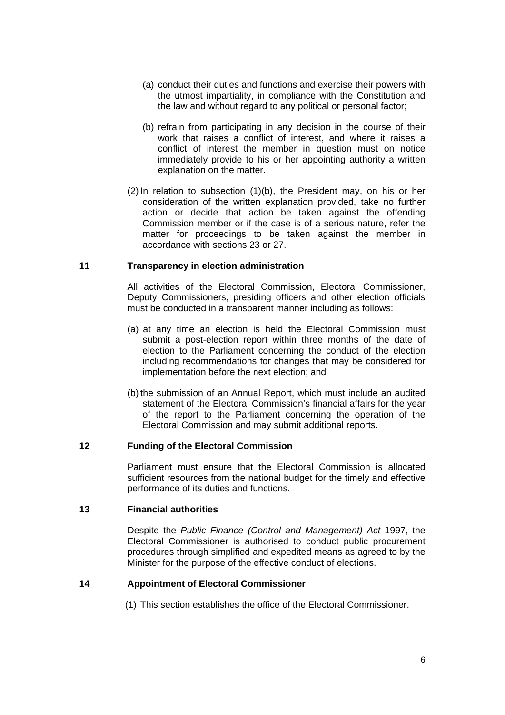- (a) conduct their duties and functions and exercise their powers with the utmost impartiality, in compliance with the Constitution and the law and without regard to any political or personal factor;
- (b) refrain from participating in any decision in the course of their work that raises a conflict of interest, and where it raises a conflict of interest the member in question must on notice immediately provide to his or her appointing authority a written explanation on the matter.
- (2) In relation to subsection (1)(b), the President may, on his or her consideration of the written explanation provided, take no further action or decide that action be taken against the offending Commission member or if the case is of a serious nature, refer the matter for proceedings to be taken against the member in accordance with sections 23 or 27.

# **11 Transparency in election administration**

All activities of the Electoral Commission, Electoral Commissioner, Deputy Commissioners, presiding officers and other election officials must be conducted in a transparent manner including as follows:

- (a) at any time an election is held the Electoral Commission must submit a post-election report within three months of the date of election to the Parliament concerning the conduct of the election including recommendations for changes that may be considered for implementation before the next election; and
- (b) the submission of an Annual Report, which must include an audited statement of the Electoral Commission's financial affairs for the year of the report to the Parliament concerning the operation of the Electoral Commission and may submit additional reports.

#### **12 Funding of the Electoral Commission**

Parliament must ensure that the Electoral Commission is allocated sufficient resources from the national budget for the timely and effective performance of its duties and functions.

## **13 Financial authorities**

Despite the *Public Finance (Control and Management) Act* 1997, the Electoral Commissioner is authorised to conduct public procurement procedures through simplified and expedited means as agreed to by the Minister for the purpose of the effective conduct of elections.

#### **14 Appointment of Electoral Commissioner**

(1) This section establishes the office of the Electoral Commissioner.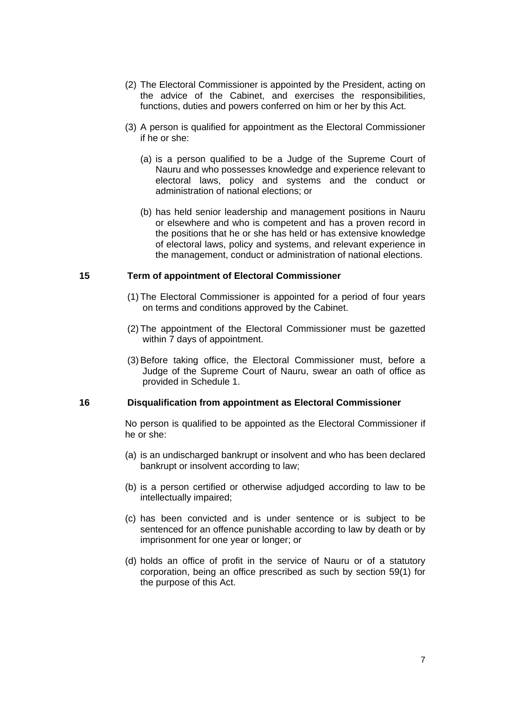- (2) The Electoral Commissioner is appointed by the President, acting on the advice of the Cabinet, and exercises the responsibilities, functions, duties and powers conferred on him or her by this Act.
- (3) A person is qualified for appointment as the Electoral Commissioner if he or she:
	- (a) is a person qualified to be a Judge of the Supreme Court of Nauru and who possesses knowledge and experience relevant to electoral laws, policy and systems and the conduct or administration of national elections; or
	- (b) has held senior leadership and management positions in Nauru or elsewhere and who is competent and has a proven record in the positions that he or she has held or has extensive knowledge of electoral laws, policy and systems, and relevant experience in the management, conduct or administration of national elections.

### **15 Term of appointment of Electoral Commissioner**

- (1) The Electoral Commissioner is appointed for a period of four years on terms and conditions approved by the Cabinet.
- (2) The appointment of the Electoral Commissioner must be gazetted within 7 days of appointment.
- (3) Before taking office, the Electoral Commissioner must, before a Judge of the Supreme Court of Nauru, swear an oath of office as provided in Schedule 1.

#### **16 Disqualification from appointment as Electoral Commissioner**

No person is qualified to be appointed as the Electoral Commissioner if he or she:

- (a) is an undischarged bankrupt or insolvent and who has been declared bankrupt or insolvent according to law;
- (b) is a person certified or otherwise adjudged according to law to be intellectually impaired;
- (c) has been convicted and is under sentence or is subject to be sentenced for an offence punishable according to law by death or by imprisonment for one year or longer; or
- (d) holds an office of profit in the service of Nauru or of a statutory corporation, being an office prescribed as such by section 59(1) for the purpose of this Act.

7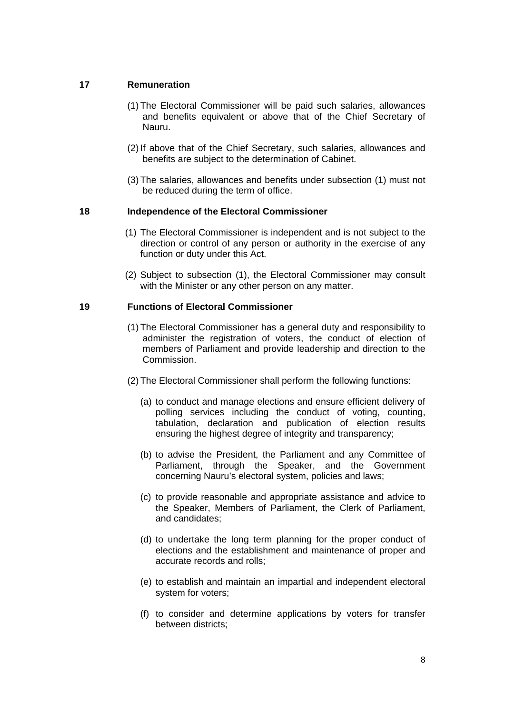# **17 Remuneration**

- (1) The Electoral Commissioner will be paid such salaries, allowances and benefits equivalent or above that of the Chief Secretary of Nauru.
- (2) If above that of the Chief Secretary, such salaries, allowances and benefits are subject to the determination of Cabinet.
- (3) The salaries, allowances and benefits under subsection (1) must not be reduced during the term of office.

## **18 Independence of the Electoral Commissioner**

- (1) The Electoral Commissioner is independent and is not subject to the direction or control of any person or authority in the exercise of any function or duty under this Act.
- (2) Subject to subsection (1), the Electoral Commissioner may consult with the Minister or any other person on any matter.

## **19 Functions of Electoral Commissioner**

- (1) The Electoral Commissioner has a general duty and responsibility to administer the registration of voters, the conduct of election of members of Parliament and provide leadership and direction to the Commission.
- (2) The Electoral Commissioner shall perform the following functions:
	- (a) to conduct and manage elections and ensure efficient delivery of polling services including the conduct of voting, counting, tabulation, declaration and publication of election results ensuring the highest degree of integrity and transparency;
	- (b) to advise the President, the Parliament and any Committee of Parliament, through the Speaker, and the Government concerning Nauru's electoral system, policies and laws;
	- (c) to provide reasonable and appropriate assistance and advice to the Speaker, Members of Parliament, the Clerk of Parliament, and candidates;
	- (d) to undertake the long term planning for the proper conduct of elections and the establishment and maintenance of proper and accurate records and rolls;
	- (e) to establish and maintain an impartial and independent electoral system for voters;
	- (f) to consider and determine applications by voters for transfer between districts;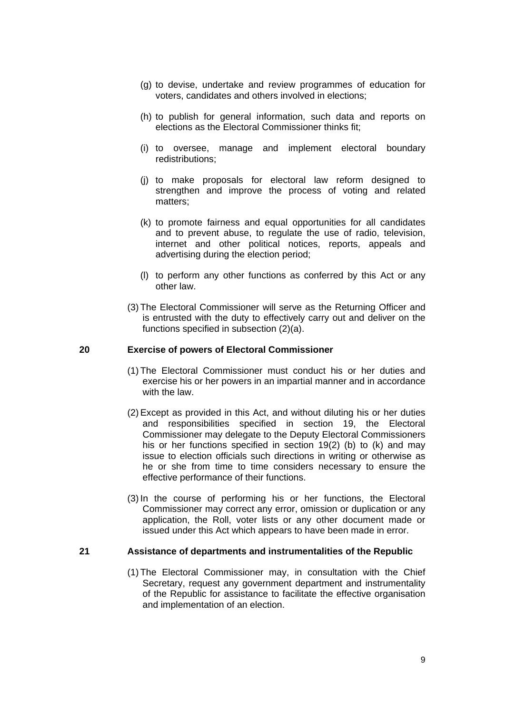- (g) to devise, undertake and review programmes of education for voters, candidates and others involved in elections;
- (h) to publish for general information, such data and reports on elections as the Electoral Commissioner thinks fit;
- (i) to oversee, manage and implement electoral boundary redistributions;
- (j) to make proposals for electoral law reform designed to strengthen and improve the process of voting and related matters;
- (k) to promote fairness and equal opportunities for all candidates and to prevent abuse, to regulate the use of radio, television, internet and other political notices, reports, appeals and advertising during the election period;
- (l) to perform any other functions as conferred by this Act or any other law.
- (3) The Electoral Commissioner will serve as the Returning Officer and is entrusted with the duty to effectively carry out and deliver on the functions specified in subsection (2)(a).

# **20 Exercise of powers of Electoral Commissioner**

- (1) The Electoral Commissioner must conduct his or her duties and exercise his or her powers in an impartial manner and in accordance with the law.
- (2) Except as provided in this Act, and without diluting his or her duties and responsibilities specified in section 19, the Electoral Commissioner may delegate to the Deputy Electoral Commissioners his or her functions specified in section 19(2) (b) to (k) and may issue to election officials such directions in writing or otherwise as he or she from time to time considers necessary to ensure the effective performance of their functions.
- (3) In the course of performing his or her functions, the Electoral Commissioner may correct any error, omission or duplication or any application, the Roll, voter lists or any other document made or issued under this Act which appears to have been made in error.

#### **21 Assistance of departments and instrumentalities of the Republic**

(1) The Electoral Commissioner may, in consultation with the Chief Secretary, request any government department and instrumentality of the Republic for assistance to facilitate the effective organisation and implementation of an election.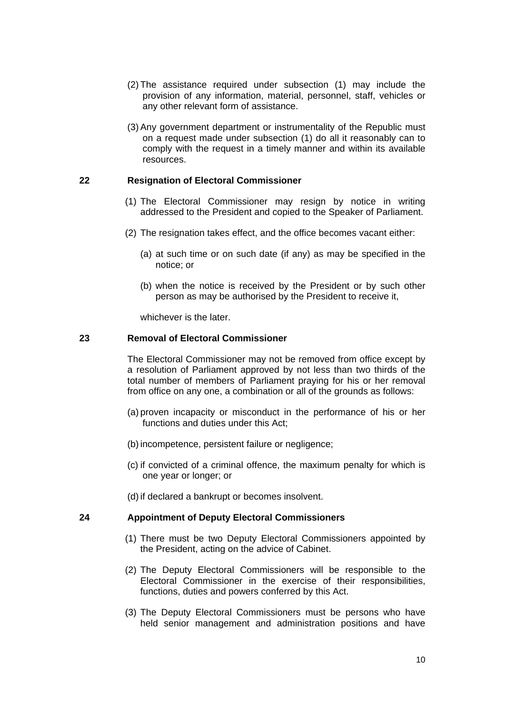- (2) The assistance required under subsection (1) may include the provision of any information, material, personnel, staff, vehicles or any other relevant form of assistance.
- (3) Any government department or instrumentality of the Republic must on a request made under subsection (1) do all it reasonably can to comply with the request in a timely manner and within its available resources.

# **22 Resignation of Electoral Commissioner**

- (1) The Electoral Commissioner may resign by notice in writing addressed to the President and copied to the Speaker of Parliament.
- (2) The resignation takes effect, and the office becomes vacant either:
	- (a) at such time or on such date (if any) as may be specified in the notice; or
	- (b) when the notice is received by the President or by such other person as may be authorised by the President to receive it,

whichever is the later.

#### **23 Removal of Electoral Commissioner**

The Electoral Commissioner may not be removed from office except by a resolution of Parliament approved by not less than two thirds of the total number of members of Parliament praying for his or her removal from office on any one, a combination or all of the grounds as follows:

- (a) proven incapacity or misconduct in the performance of his or her functions and duties under this Act;
- (b) incompetence, persistent failure or negligence;
- (c) if convicted of a criminal offence, the maximum penalty for which is one year or longer; or
- (d) if declared a bankrupt or becomes insolvent.

#### **24 Appointment of Deputy Electoral Commissioners**

- (1) There must be two Deputy Electoral Commissioners appointed by the President, acting on the advice of Cabinet.
- (2) The Deputy Electoral Commissioners will be responsible to the Electoral Commissioner in the exercise of their responsibilities, functions, duties and powers conferred by this Act.
- (3) The Deputy Electoral Commissioners must be persons who have held senior management and administration positions and have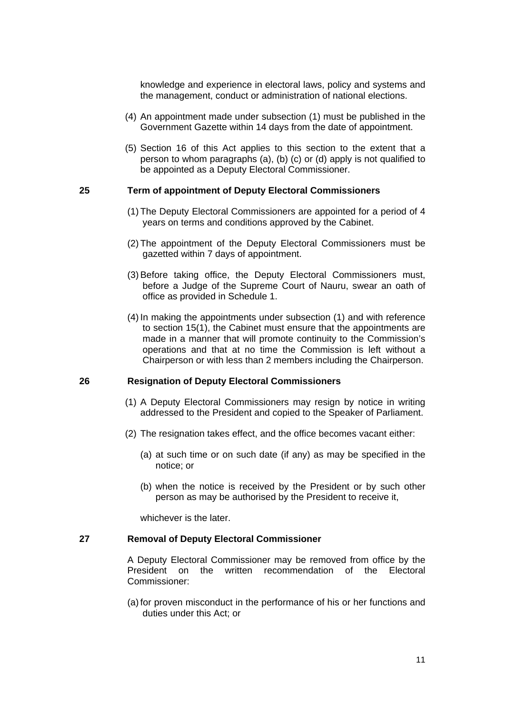knowledge and experience in electoral laws, policy and systems and the management, conduct or administration of national elections.

- (4) An appointment made under subsection (1) must be published in the Government Gazette within 14 days from the date of appointment.
- (5) Section 16 of this Act applies to this section to the extent that a person to whom paragraphs (a), (b) (c) or (d) apply is not qualified to be appointed as a Deputy Electoral Commissioner.

#### **25 Term of appointment of Deputy Electoral Commissioners**

- (1) The Deputy Electoral Commissioners are appointed for a period of 4 years on terms and conditions approved by the Cabinet.
- (2) The appointment of the Deputy Electoral Commissioners must be gazetted within 7 days of appointment.
- (3) Before taking office, the Deputy Electoral Commissioners must, before a Judge of the Supreme Court of Nauru, swear an oath of office as provided in Schedule 1.
- (4) In making the appointments under subsection (1) and with reference to section 15(1), the Cabinet must ensure that the appointments are made in a manner that will promote continuity to the Commission's operations and that at no time the Commission is left without a Chairperson or with less than 2 members including the Chairperson.

#### **26 Resignation of Deputy Electoral Commissioners**

- (1) A Deputy Electoral Commissioners may resign by notice in writing addressed to the President and copied to the Speaker of Parliament.
- (2) The resignation takes effect, and the office becomes vacant either:
	- (a) at such time or on such date (if any) as may be specified in the notice; or
	- (b) when the notice is received by the President or by such other person as may be authorised by the President to receive it,

whichever is the later.

#### **27 Removal of Deputy Electoral Commissioner**

A Deputy Electoral Commissioner may be removed from office by the President on the written recommendation of the Electoral Commissioner:

(a) for proven misconduct in the performance of his or her functions and duties under this Act; or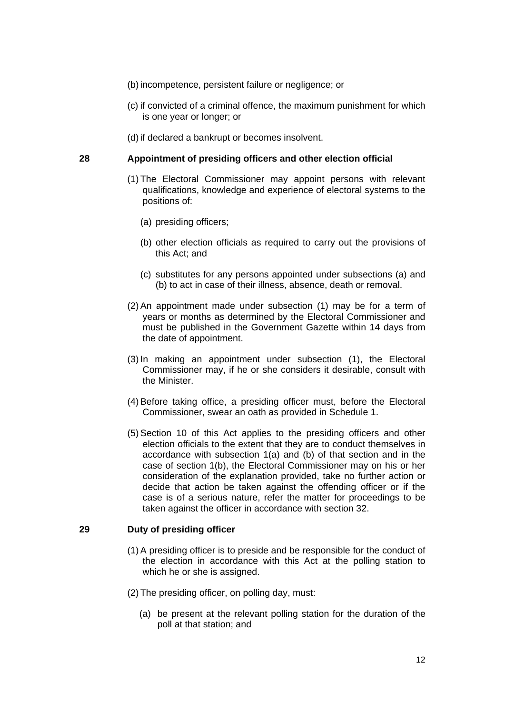- (b) incompetence, persistent failure or negligence; or
- (c) if convicted of a criminal offence, the maximum punishment for which is one year or longer; or
- (d) if declared a bankrupt or becomes insolvent.

#### **28 Appointment of presiding officers and other election official**

- (1) The Electoral Commissioner may appoint persons with relevant qualifications, knowledge and experience of electoral systems to the positions of:
	- (a) presiding officers;
	- (b) other election officials as required to carry out the provisions of this Act; and
	- (c) substitutes for any persons appointed under subsections (a) and (b) to act in case of their illness, absence, death or removal.
- (2) An appointment made under subsection (1) may be for a term of years or months as determined by the Electoral Commissioner and must be published in the Government Gazette within 14 days from the date of appointment.
- (3) In making an appointment under subsection (1), the Electoral Commissioner may, if he or she considers it desirable, consult with the Minister.
- (4) Before taking office, a presiding officer must, before the Electoral Commissioner, swear an oath as provided in Schedule 1.
- (5) Section 10 of this Act applies to the presiding officers and other election officials to the extent that they are to conduct themselves in accordance with subsection 1(a) and (b) of that section and in the case of section 1(b), the Electoral Commissioner may on his or her consideration of the explanation provided, take no further action or decide that action be taken against the offending officer or if the case is of a serious nature, refer the matter for proceedings to be taken against the officer in accordance with section 32.

#### **29 Duty of presiding officer**

- (1) A presiding officer is to preside and be responsible for the conduct of the election in accordance with this Act at the polling station to which he or she is assigned.
- (2) The presiding officer, on polling day, must:
	- (a) be present at the relevant polling station for the duration of the poll at that station; and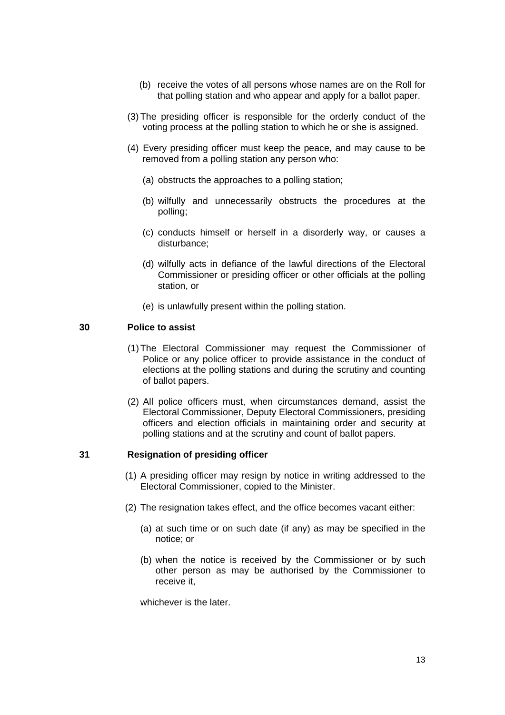- (b) receive the votes of all persons whose names are on the Roll for that polling station and who appear and apply for a ballot paper.
- (3) The presiding officer is responsible for the orderly conduct of the voting process at the polling station to which he or she is assigned.
- (4) Every presiding officer must keep the peace, and may cause to be removed from a polling station any person who:
	- (a) obstructs the approaches to a polling station;
	- (b) wilfully and unnecessarily obstructs the procedures at the polling;
	- (c) conducts himself or herself in a disorderly way, or causes a disturbance;
	- (d) wilfully acts in defiance of the lawful directions of the Electoral Commissioner or presiding officer or other officials at the polling station, or
	- (e) is unlawfully present within the polling station.

## **30 Police to assist**

- (1) The Electoral Commissioner may request the Commissioner of Police or any police officer to provide assistance in the conduct of elections at the polling stations and during the scrutiny and counting of ballot papers.
- (2) All police officers must, when circumstances demand, assist the Electoral Commissioner, Deputy Electoral Commissioners, presiding officers and election officials in maintaining order and security at polling stations and at the scrutiny and count of ballot papers.

#### **31 Resignation of presiding officer**

- (1) A presiding officer may resign by notice in writing addressed to the Electoral Commissioner, copied to the Minister.
- (2) The resignation takes effect, and the office becomes vacant either:
	- (a) at such time or on such date (if any) as may be specified in the notice; or
	- (b) when the notice is received by the Commissioner or by such other person as may be authorised by the Commissioner to receive it,

whichever is the later.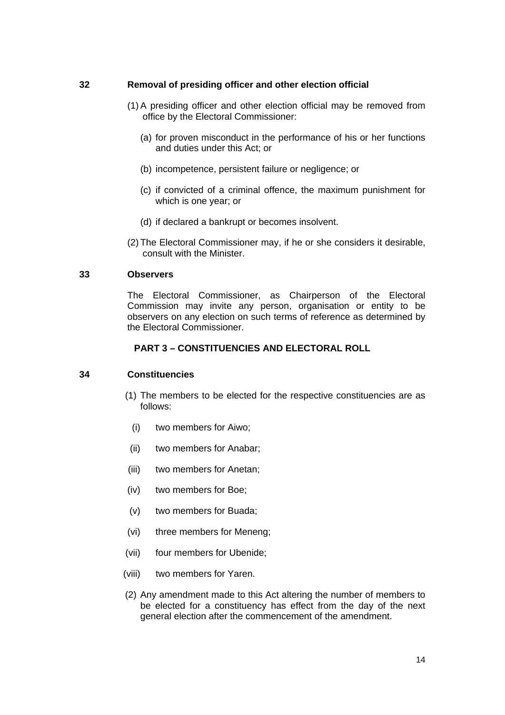# **32 Removal of presiding officer and other election official**

- (1) A presiding officer and other election official may be removed from office by the Electoral Commissioner:
	- (a) for proven misconduct in the performance of his or her functions and duties under this Act; or
	- (b) incompetence, persistent failure or negligence; or
	- (c) if convicted of a criminal offence, the maximum punishment for which is one year; or
	- (d) if declared a bankrupt or becomes insolvent.
- (2) The Electoral Commissioner may, if he or she considers it desirable, consult with the Minister.

#### **33 Observers**

The Electoral Commissioner, as Chairperson of the Electoral Commission may invite any person, organisation or entity to be observers on any election on such terms of reference as determined by the Electoral Commissioner.

# **PART 3 – CONSTITUENCIES AND ELECTORAL ROLL**

#### **34 Constituencies**

- (1) The members to be elected for the respective constituencies are as follows:
	- (i) two members for Aiwo;
	- (ii) two members for Anabar;
- (iii) two members for Anetan;
- (iv) two members for Boe;
- (v) two members for Buada;
- (vi) three members for Meneng;
- (vii) four members for Ubenide;
- (viii) two members for Yaren.
- (2) Any amendment made to this Act altering the number of members to be elected for a constituency has effect from the day of the next general election after the commencement of the amendment.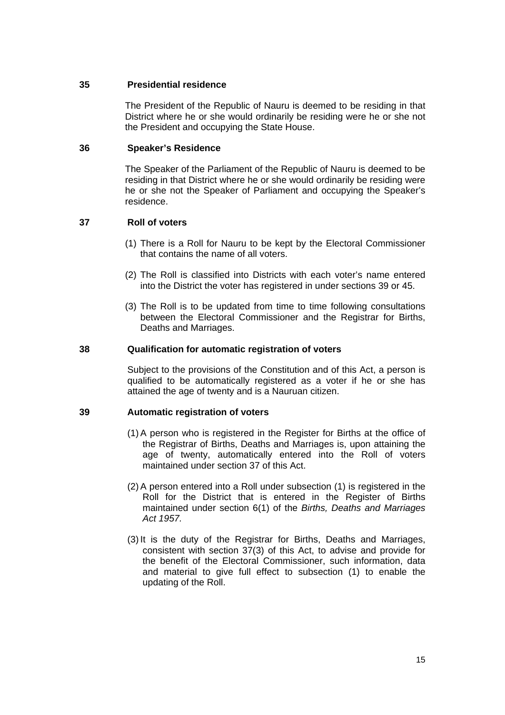## **35 Presidential residence**

The President of the Republic of Nauru is deemed to be residing in that District where he or she would ordinarily be residing were he or she not the President and occupying the State House.

## **36 Speaker's Residence**

The Speaker of the Parliament of the Republic of Nauru is deemed to be residing in that District where he or she would ordinarily be residing were he or she not the Speaker of Parliament and occupying the Speaker's residence.

# **37 Roll of voters**

- (1) There is a Roll for Nauru to be kept by the Electoral Commissioner that contains the name of all voters.
- (2) The Roll is classified into Districts with each voter's name entered into the District the voter has registered in under sections 39 or 45.
- (3) The Roll is to be updated from time to time following consultations between the Electoral Commissioner and the Registrar for Births, Deaths and Marriages.

## **38 Qualification for automatic registration of voters**

Subject to the provisions of the Constitution and of this Act, a person is qualified to be automatically registered as a voter if he or she has attained the age of twenty and is a Nauruan citizen.

# **39 Automatic registration of voters**

- (1) A person who is registered in the Register for Births at the office of the Registrar of Births, Deaths and Marriages is, upon attaining the age of twenty, automatically entered into the Roll of voters maintained under section 37 of this Act.
- (2) A person entered into a Roll under subsection (1) is registered in the Roll for the District that is entered in the Register of Births maintained under section 6(1) of the *Births, Deaths and Marriages Act 1957.*
- (3) It is the duty of the Registrar for Births, Deaths and Marriages, consistent with section 37(3) of this Act, to advise and provide for the benefit of the Electoral Commissioner, such information, data and material to give full effect to subsection (1) to enable the updating of the Roll.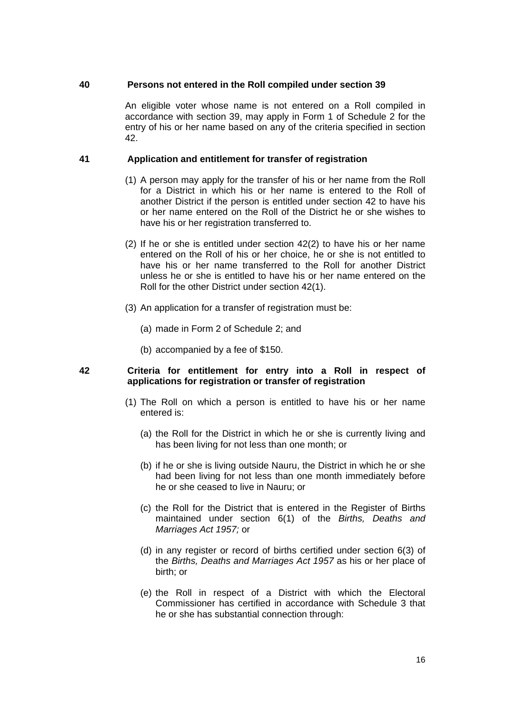## **40 Persons not entered in the Roll compiled under section 39**

An eligible voter whose name is not entered on a Roll compiled in accordance with section 39, may apply in Form 1 of Schedule 2 for the entry of his or her name based on any of the criteria specified in section 42.

## **41 Application and entitlement for transfer of registration**

- (1) A person may apply for the transfer of his or her name from the Roll for a District in which his or her name is entered to the Roll of another District if the person is entitled under section 42 to have his or her name entered on the Roll of the District he or she wishes to have his or her registration transferred to.
- (2) If he or she is entitled under section 42(2) to have his or her name entered on the Roll of his or her choice, he or she is not entitled to have his or her name transferred to the Roll for another District unless he or she is entitled to have his or her name entered on the Roll for the other District under section 42(1).
- (3) An application for a transfer of registration must be:
	- (a) made in Form 2 of Schedule 2; and
	- (b) accompanied by a fee of \$150.

## **42 Criteria for entitlement for entry into a Roll in respect of applications for registration or transfer of registration**

- (1) The Roll on which a person is entitled to have his or her name entered is:
	- (a) the Roll for the District in which he or she is currently living and has been living for not less than one month; or
	- (b) if he or she is living outside Nauru, the District in which he or she had been living for not less than one month immediately before he or she ceased to live in Nauru; or
	- (c) the Roll for the District that is entered in the Register of Births maintained under section 6(1) of the *Births, Deaths and Marriages Act 1957;* or
	- (d) in any register or record of births certified under section 6(3) of the *Births, Deaths and Marriages Act 1957* as his or her place of birth; or
	- (e) the Roll in respect of a District with which the Electoral Commissioner has certified in accordance with Schedule 3 that he or she has substantial connection through: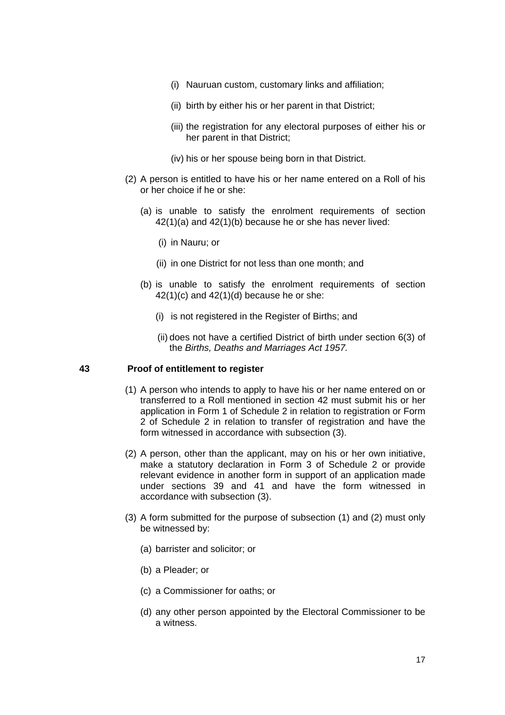- (i) Nauruan custom, customary links and affiliation;
- (ii) birth by either his or her parent in that District;
- (iii) the registration for any electoral purposes of either his or her parent in that District;
- (iv) his or her spouse being born in that District.
- (2) A person is entitled to have his or her name entered on a Roll of his or her choice if he or she:
	- (a) is unable to satisfy the enrolment requirements of section 42(1)(a) and 42(1)(b) because he or she has never lived:
		- (i) in Nauru; or
		- (ii) in one District for not less than one month; and
	- (b) is unable to satisfy the enrolment requirements of section  $42(1)(c)$  and  $42(1)(d)$  because he or she:
		- (i) is not registered in the Register of Births; and
		- (ii) does not have a certified District of birth under section 6(3) of the *Births, Deaths and Marriages Act 1957.*

## **43 Proof of entitlement to register**

- (1) A person who intends to apply to have his or her name entered on or transferred to a Roll mentioned in section 42 must submit his or her application in Form 1 of Schedule 2 in relation to registration or Form 2 of Schedule 2 in relation to transfer of registration and have the form witnessed in accordance with subsection (3).
- (2) A person, other than the applicant, may on his or her own initiative, make a statutory declaration in Form 3 of Schedule 2 or provide relevant evidence in another form in support of an application made under sections 39 and 41 and have the form witnessed in accordance with subsection (3).
- (3) A form submitted for the purpose of subsection (1) and (2) must only be witnessed by:
	- (a) barrister and solicitor; or
	- (b) a Pleader; or
	- (c) a Commissioner for oaths; or
	- (d) any other person appointed by the Electoral Commissioner to be a witness.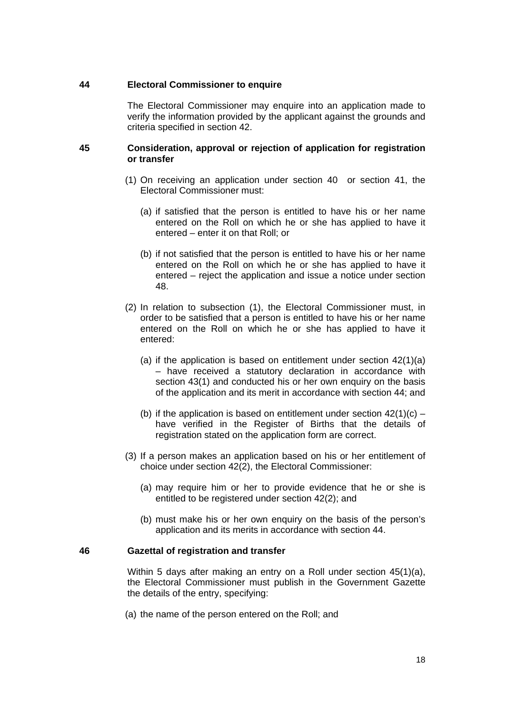## **44 Electoral Commissioner to enquire**

The Electoral Commissioner may enquire into an application made to verify the information provided by the applicant against the grounds and criteria specified in section 42.

#### **45 Consideration, approval or rejection of application for registration or transfer**

- (1) On receiving an application under section 40 or section 41, the Electoral Commissioner must:
	- (a) if satisfied that the person is entitled to have his or her name entered on the Roll on which he or she has applied to have it entered – enter it on that Roll; or
	- (b) if not satisfied that the person is entitled to have his or her name entered on the Roll on which he or she has applied to have it entered – reject the application and issue a notice under section 48.
- (2) In relation to subsection (1), the Electoral Commissioner must, in order to be satisfied that a person is entitled to have his or her name entered on the Roll on which he or she has applied to have it entered:
	- (a) if the application is based on entitlement under section 42(1)(a) – have received a statutory declaration in accordance with section 43(1) and conducted his or her own enquiry on the basis of the application and its merit in accordance with section 44; and
	- (b) if the application is based on entitlement under section  $42(1)(c)$  have verified in the Register of Births that the details of registration stated on the application form are correct.
- (3) If a person makes an application based on his or her entitlement of choice under section 42(2), the Electoral Commissioner:
	- (a) may require him or her to provide evidence that he or she is entitled to be registered under section 42(2); and
	- (b) must make his or her own enquiry on the basis of the person's application and its merits in accordance with section 44.

#### **46 Gazettal of registration and transfer**

Within 5 days after making an entry on a Roll under section 45(1)(a), the Electoral Commissioner must publish in the Government Gazette the details of the entry, specifying:

(a) the name of the person entered on the Roll; and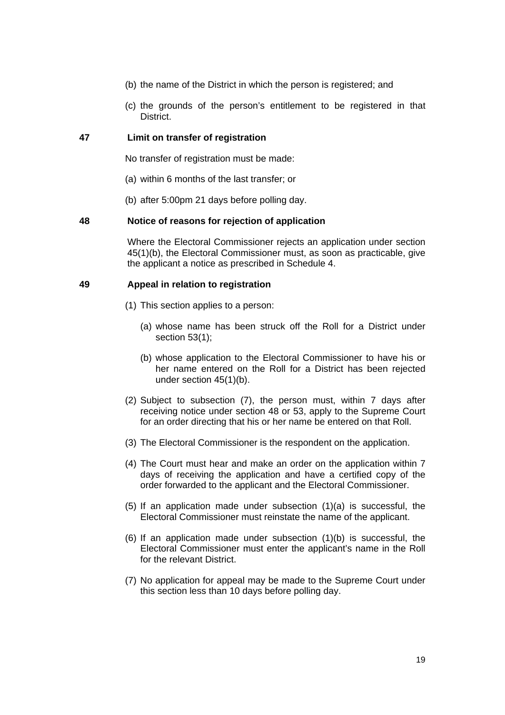- (b) the name of the District in which the person is registered; and
- (c) the grounds of the person's entitlement to be registered in that District.

# **47 Limit on transfer of registration**

No transfer of registration must be made:

- (a) within 6 months of the last transfer; or
- (b) after 5:00pm 21 days before polling day.

#### **48 Notice of reasons for rejection of application**

Where the Electoral Commissioner rejects an application under section 45(1)(b), the Electoral Commissioner must, as soon as practicable, give the applicant a notice as prescribed in Schedule 4.

#### **49 Appeal in relation to registration**

- (1) This section applies to a person:
	- (a) whose name has been struck off the Roll for a District under section 53(1);
	- (b) whose application to the Electoral Commissioner to have his or her name entered on the Roll for a District has been rejected under section 45(1)(b).
- (2) Subject to subsection (7), the person must, within 7 days after receiving notice under section 48 or 53, apply to the Supreme Court for an order directing that his or her name be entered on that Roll.
- (3) The Electoral Commissioner is the respondent on the application.
- (4) The Court must hear and make an order on the application within 7 days of receiving the application and have a certified copy of the order forwarded to the applicant and the Electoral Commissioner.
- (5) If an application made under subsection (1)(a) is successful, the Electoral Commissioner must reinstate the name of the applicant.
- (6) If an application made under subsection (1)(b) is successful, the Electoral Commissioner must enter the applicant's name in the Roll for the relevant District.
- (7) No application for appeal may be made to the Supreme Court under this section less than 10 days before polling day.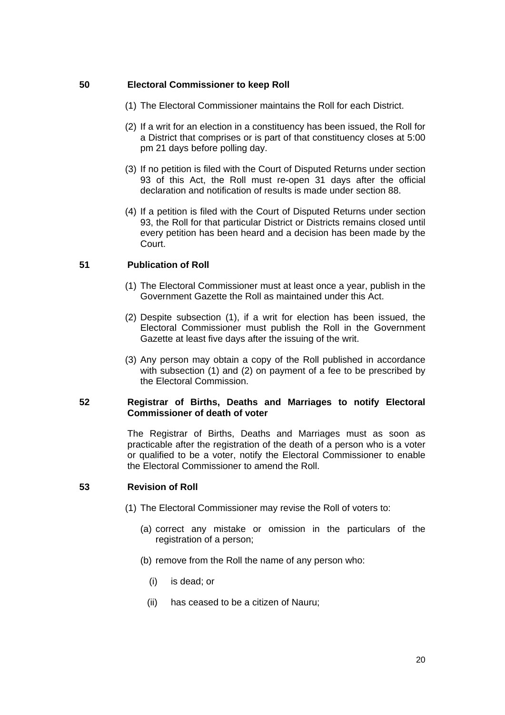# **50 Electoral Commissioner to keep Roll**

- (1) The Electoral Commissioner maintains the Roll for each District.
- (2) If a writ for an election in a constituency has been issued, the Roll for a District that comprises or is part of that constituency closes at 5:00 pm 21 days before polling day.
- (3) If no petition is filed with the Court of Disputed Returns under section 93 of this Act, the Roll must re-open 31 days after the official declaration and notification of results is made under section 88.
- (4) If a petition is filed with the Court of Disputed Returns under section 93, the Roll for that particular District or Districts remains closed until every petition has been heard and a decision has been made by the Court.

# **51 Publication of Roll**

- (1) The Electoral Commissioner must at least once a year, publish in the Government Gazette the Roll as maintained under this Act.
- (2) Despite subsection (1), if a writ for election has been issued, the Electoral Commissioner must publish the Roll in the Government Gazette at least five days after the issuing of the writ.
- (3) Any person may obtain a copy of the Roll published in accordance with subsection (1) and (2) on payment of a fee to be prescribed by the Electoral Commission.

#### **52 Registrar of Births, Deaths and Marriages to notify Electoral Commissioner of death of voter**

The Registrar of Births, Deaths and Marriages must as soon as practicable after the registration of the death of a person who is a voter or qualified to be a voter, notify the Electoral Commissioner to enable the Electoral Commissioner to amend the Roll.

#### **53 Revision of Roll**

- (1) The Electoral Commissioner may revise the Roll of voters to:
	- (a) correct any mistake or omission in the particulars of the registration of a person;
	- (b) remove from the Roll the name of any person who:
		- (i) is dead; or
		- (ii) has ceased to be a citizen of Nauru;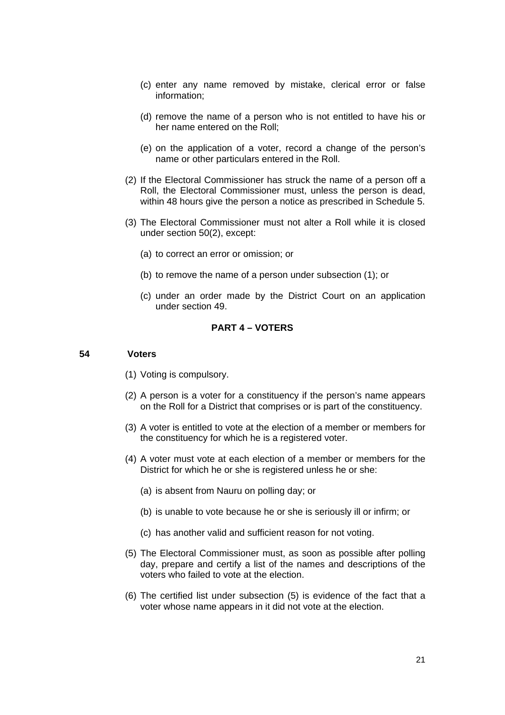- (c) enter any name removed by mistake, clerical error or false information;
- (d) remove the name of a person who is not entitled to have his or her name entered on the Roll;
- (e) on the application of a voter, record a change of the person's name or other particulars entered in the Roll.
- (2) If the Electoral Commissioner has struck the name of a person off a Roll, the Electoral Commissioner must, unless the person is dead, within 48 hours give the person a notice as prescribed in Schedule 5.
- (3) The Electoral Commissioner must not alter a Roll while it is closed under section 50(2), except:
	- (a) to correct an error or omission; or
	- (b) to remove the name of a person under subsection (1); or
	- (c) under an order made by the District Court on an application under section 49.

#### **PART 4 – VOTERS**

#### **54 Voters**

- (1) Voting is compulsory.
- (2) A person is a voter for a constituency if the person's name appears on the Roll for a District that comprises or is part of the constituency.
- (3) A voter is entitled to vote at the election of a member or members for the constituency for which he is a registered voter.
- (4) A voter must vote at each election of a member or members for the District for which he or she is registered unless he or she:
	- (a) is absent from Nauru on polling day; or
	- (b) is unable to vote because he or she is seriously ill or infirm; or
	- (c) has another valid and sufficient reason for not voting.
- (5) The Electoral Commissioner must, as soon as possible after polling day, prepare and certify a list of the names and descriptions of the voters who failed to vote at the election.
- (6) The certified list under subsection (5) is evidence of the fact that a voter whose name appears in it did not vote at the election.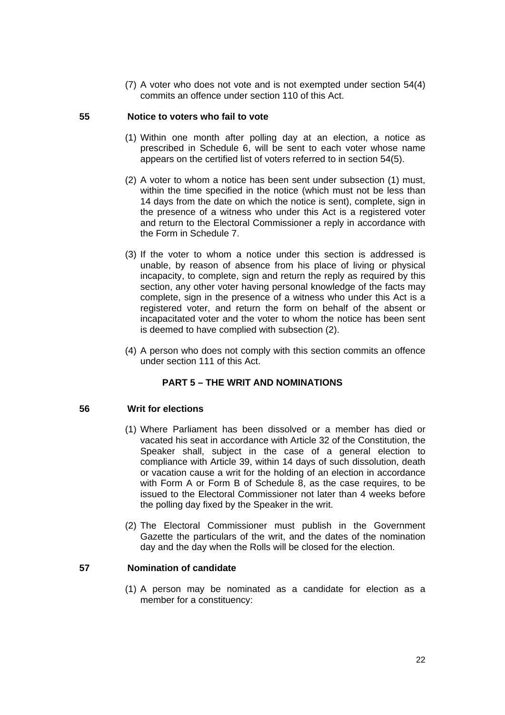(7) A voter who does not vote and is not exempted under section 54(4) commits an offence under section 110 of this Act.

# **55 Notice to voters who fail to vote**

- (1) Within one month after polling day at an election, a notice as prescribed in Schedule 6, will be sent to each voter whose name appears on the certified list of voters referred to in section 54(5).
- (2) A voter to whom a notice has been sent under subsection (1) must, within the time specified in the notice (which must not be less than 14 days from the date on which the notice is sent), complete, sign in the presence of a witness who under this Act is a registered voter and return to the Electoral Commissioner a reply in accordance with the Form in Schedule 7.
- (3) If the voter to whom a notice under this section is addressed is unable, by reason of absence from his place of living or physical incapacity, to complete, sign and return the reply as required by this section, any other voter having personal knowledge of the facts may complete, sign in the presence of a witness who under this Act is a registered voter, and return the form on behalf of the absent or incapacitated voter and the voter to whom the notice has been sent is deemed to have complied with subsection (2).
- (4) A person who does not comply with this section commits an offence under section 111 of this Act.

# **PART 5 – THE WRIT AND NOMINATIONS**

#### **56 Writ for elections**

- (1) Where Parliament has been dissolved or a member has died or vacated his seat in accordance with Article 32 of the Constitution, the Speaker shall, subject in the case of a general election to compliance with Article 39, within 14 days of such dissolution, death or vacation cause a writ for the holding of an election in accordance with Form A or Form B of Schedule 8, as the case requires, to be issued to the Electoral Commissioner not later than 4 weeks before the polling day fixed by the Speaker in the writ.
- (2) The Electoral Commissioner must publish in the Government Gazette the particulars of the writ, and the dates of the nomination day and the day when the Rolls will be closed for the election.

## **57 Nomination of candidate**

(1) A person may be nominated as a candidate for election as a member for a constituency: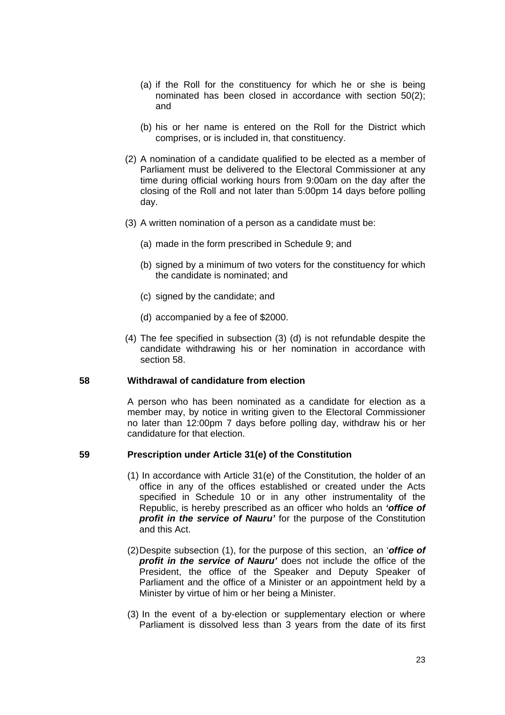- (a) if the Roll for the constituency for which he or she is being nominated has been closed in accordance with section 50(2); and
- (b) his or her name is entered on the Roll for the District which comprises, or is included in, that constituency.
- (2) A nomination of a candidate qualified to be elected as a member of Parliament must be delivered to the Electoral Commissioner at any time during official working hours from 9:00am on the day after the closing of the Roll and not later than 5:00pm 14 days before polling day.
- (3) A written nomination of a person as a candidate must be:
	- (a) made in the form prescribed in Schedule 9; and
	- (b) signed by a minimum of two voters for the constituency for which the candidate is nominated; and
	- (c) signed by the candidate; and
	- (d) accompanied by a fee of \$2000.
- (4) The fee specified in subsection (3) (d) is not refundable despite the candidate withdrawing his or her nomination in accordance with section 58.

#### **58 Withdrawal of candidature from election**

A person who has been nominated as a candidate for election as a member may, by notice in writing given to the Electoral Commissioner no later than 12:00pm 7 days before polling day, withdraw his or her candidature for that election.

#### **59 Prescription under Article 31(e) of the Constitution**

- (1) In accordance with Article 31(e) of the Constitution, the holder of an office in any of the offices established or created under the Acts specified in Schedule 10 or in any other instrumentality of the Republic, is hereby prescribed as an officer who holds an *'office of profit in the service of Nauru'* for the purpose of the Constitution and this Act.
- (2) Despite subsection (1), for the purpose of this section, an '*office of profit in the service of Nauru'* does not include the office of the President, the office of the Speaker and Deputy Speaker of Parliament and the office of a Minister or an appointment held by a Minister by virtue of him or her being a Minister.
- (3) In the event of a by-election or supplementary election or where Parliament is dissolved less than 3 years from the date of its first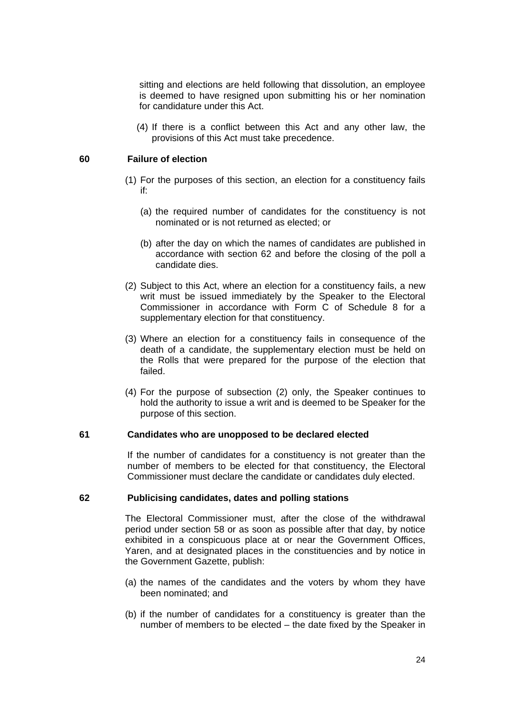sitting and elections are held following that dissolution, an employee is deemed to have resigned upon submitting his or her nomination for candidature under this Act.

(4) If there is a conflict between this Act and any other law, the provisions of this Act must take precedence.

#### **60 Failure of election**

- (1) For the purposes of this section, an election for a constituency fails if:
	- (a) the required number of candidates for the constituency is not nominated or is not returned as elected; or
	- (b) after the day on which the names of candidates are published in accordance with section 62 and before the closing of the poll a candidate dies.
- (2) Subject to this Act, where an election for a constituency fails, a new writ must be issued immediately by the Speaker to the Electoral Commissioner in accordance with Form C of Schedule 8 for a supplementary election for that constituency.
- (3) Where an election for a constituency fails in consequence of the death of a candidate, the supplementary election must be held on the Rolls that were prepared for the purpose of the election that failed.
- (4) For the purpose of subsection (2) only, the Speaker continues to hold the authority to issue a writ and is deemed to be Speaker for the purpose of this section.

#### **61 Candidates who are unopposed to be declared elected**

If the number of candidates for a constituency is not greater than the number of members to be elected for that constituency, the Electoral Commissioner must declare the candidate or candidates duly elected.

#### **62 Publicising candidates, dates and polling stations**

The Electoral Commissioner must, after the close of the withdrawal period under section 58 or as soon as possible after that day, by notice exhibited in a conspicuous place at or near the Government Offices, Yaren, and at designated places in the constituencies and by notice in the Government Gazette, publish:

- (a) the names of the candidates and the voters by whom they have been nominated; and
- (b) if the number of candidates for a constituency is greater than the number of members to be elected – the date fixed by the Speaker in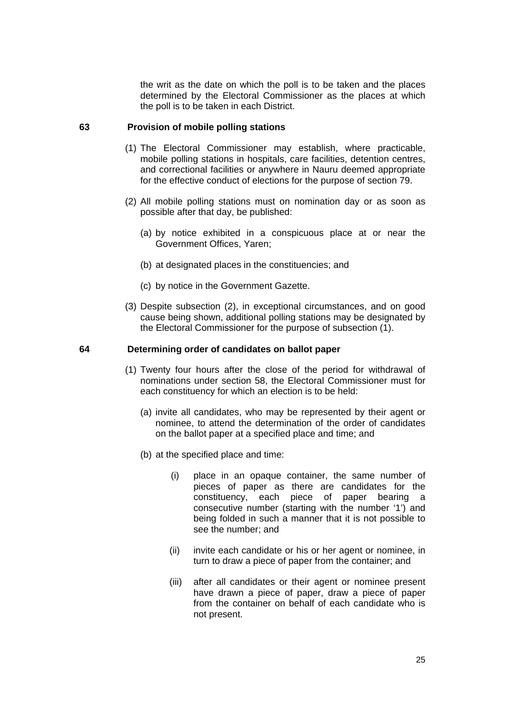the writ as the date on which the poll is to be taken and the places determined by the Electoral Commissioner as the places at which the poll is to be taken in each District.

#### **63 Provision of mobile polling stations**

- (1) The Electoral Commissioner may establish, where practicable, mobile polling stations in hospitals, care facilities, detention centres, and correctional facilities or anywhere in Nauru deemed appropriate for the effective conduct of elections for the purpose of section 79.
- (2) All mobile polling stations must on nomination day or as soon as possible after that day, be published:
	- (a) by notice exhibited in a conspicuous place at or near the Government Offices, Yaren;
	- (b) at designated places in the constituencies; and
	- (c) by notice in the Government Gazette.
- (3) Despite subsection (2), in exceptional circumstances, and on good cause being shown, additional polling stations may be designated by the Electoral Commissioner for the purpose of subsection (1).

#### **64 Determining order of candidates on ballot paper**

- (1) Twenty four hours after the close of the period for withdrawal of nominations under section 58, the Electoral Commissioner must for each constituency for which an election is to be held:
	- (a) invite all candidates, who may be represented by their agent or nominee, to attend the determination of the order of candidates on the ballot paper at a specified place and time; and
	- (b) at the specified place and time:
		- (i) place in an opaque container, the same number of pieces of paper as there are candidates for the constituency, each piece of paper bearing a consecutive number (starting with the number '1') and being folded in such a manner that it is not possible to see the number; and
		- (ii) invite each candidate or his or her agent or nominee, in turn to draw a piece of paper from the container; and
		- (iii) after all candidates or their agent or nominee present have drawn a piece of paper, draw a piece of paper from the container on behalf of each candidate who is not present.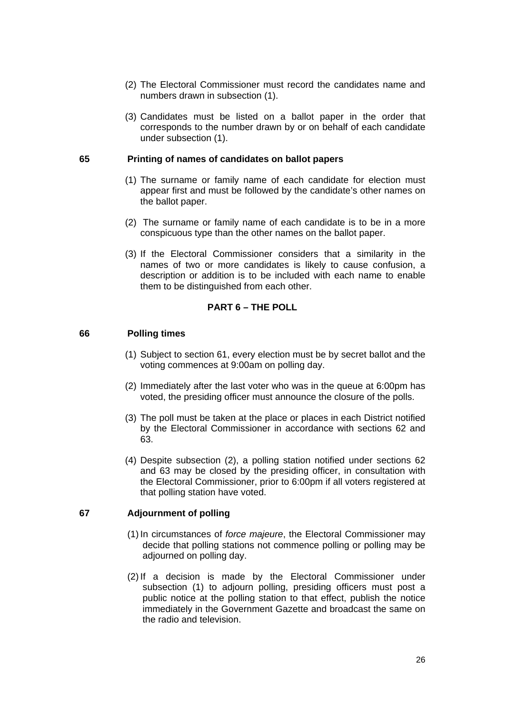- (2) The Electoral Commissioner must record the candidates name and numbers drawn in subsection (1).
- (3) Candidates must be listed on a ballot paper in the order that corresponds to the number drawn by or on behalf of each candidate under subsection (1).

#### **65 Printing of names of candidates on ballot papers**

- (1) The surname or family name of each candidate for election must appear first and must be followed by the candidate's other names on the ballot paper.
- (2) The surname or family name of each candidate is to be in a more conspicuous type than the other names on the ballot paper.
- (3) If the Electoral Commissioner considers that a similarity in the names of two or more candidates is likely to cause confusion, a description or addition is to be included with each name to enable them to be distinguished from each other.

## **PART 6 – THE POLL**

#### **66 Polling times**

- (1) Subject to section 61, every election must be by secret ballot and the voting commences at 9:00am on polling day.
- (2) Immediately after the last voter who was in the queue at 6:00pm has voted, the presiding officer must announce the closure of the polls.
- (3) The poll must be taken at the place or places in each District notified by the Electoral Commissioner in accordance with sections 62 and 63.
- (4) Despite subsection (2), a polling station notified under sections 62 and 63 may be closed by the presiding officer, in consultation with the Electoral Commissioner, prior to 6:00pm if all voters registered at that polling station have voted.

## **67 Adjournment of polling**

- (1) In circumstances of *force majeure*, the Electoral Commissioner may decide that polling stations not commence polling or polling may be adjourned on polling day.
- (2) If a decision is made by the Electoral Commissioner under subsection (1) to adjourn polling, presiding officers must post a public notice at the polling station to that effect, publish the notice immediately in the Government Gazette and broadcast the same on the radio and television.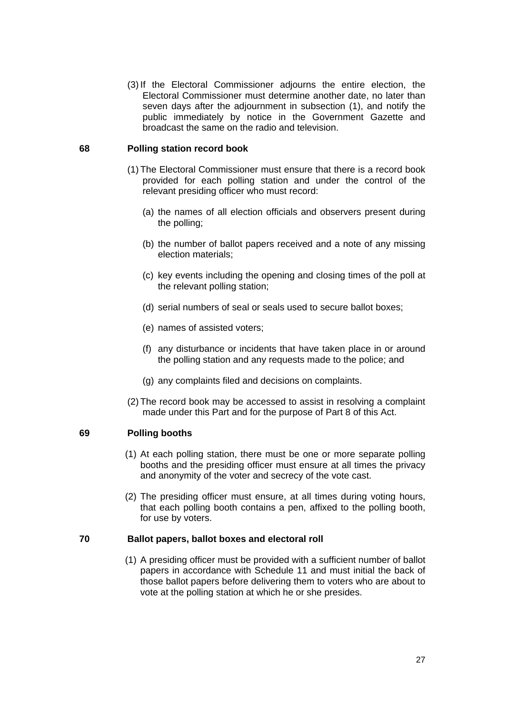(3) If the Electoral Commissioner adjourns the entire election, the Electoral Commissioner must determine another date, no later than seven days after the adjournment in subsection (1), and notify the public immediately by notice in the Government Gazette and broadcast the same on the radio and television.

#### **68 Polling station record book**

- (1) The Electoral Commissioner must ensure that there is a record book provided for each polling station and under the control of the relevant presiding officer who must record:
	- (a) the names of all election officials and observers present during the polling;
	- (b) the number of ballot papers received and a note of any missing election materials;
	- (c) key events including the opening and closing times of the poll at the relevant polling station;
	- (d) serial numbers of seal or seals used to secure ballot boxes;
	- (e) names of assisted voters;
	- (f) any disturbance or incidents that have taken place in or around the polling station and any requests made to the police; and
	- (g) any complaints filed and decisions on complaints.
- (2) The record book may be accessed to assist in resolving a complaint made under this Part and for the purpose of Part 8 of this Act.

#### **69 Polling booths**

- (1) At each polling station, there must be one or more separate polling booths and the presiding officer must ensure at all times the privacy and anonymity of the voter and secrecy of the vote cast.
- (2) The presiding officer must ensure, at all times during voting hours, that each polling booth contains a pen, affixed to the polling booth, for use by voters.

#### **70 Ballot papers, ballot boxes and electoral roll**

(1) A presiding officer must be provided with a sufficient number of ballot papers in accordance with Schedule 11 and must initial the back of those ballot papers before delivering them to voters who are about to vote at the polling station at which he or she presides.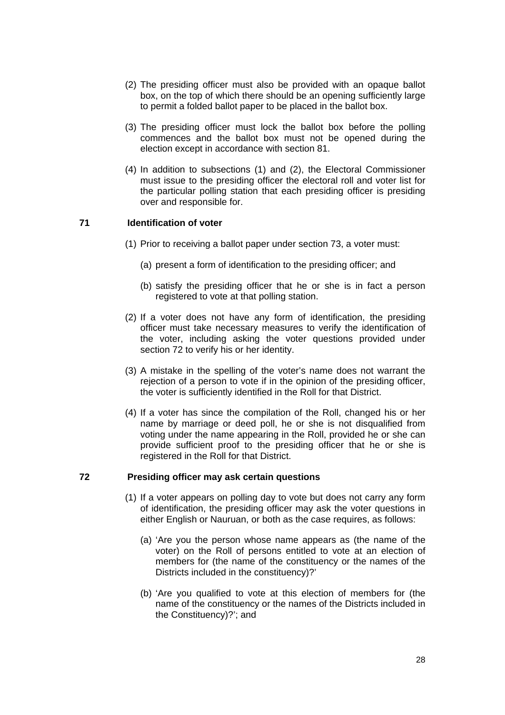- (2) The presiding officer must also be provided with an opaque ballot box, on the top of which there should be an opening sufficiently large to permit a folded ballot paper to be placed in the ballot box.
- (3) The presiding officer must lock the ballot box before the polling commences and the ballot box must not be opened during the election except in accordance with section 81.
- (4) In addition to subsections (1) and (2), the Electoral Commissioner must issue to the presiding officer the electoral roll and voter list for the particular polling station that each presiding officer is presiding over and responsible for.

# **71 Identification of voter**

- (1) Prior to receiving a ballot paper under section 73, a voter must:
	- (a) present a form of identification to the presiding officer; and
	- (b) satisfy the presiding officer that he or she is in fact a person registered to vote at that polling station.
- (2) If a voter does not have any form of identification, the presiding officer must take necessary measures to verify the identification of the voter, including asking the voter questions provided under section 72 to verify his or her identity.
- (3) A mistake in the spelling of the voter's name does not warrant the rejection of a person to vote if in the opinion of the presiding officer, the voter is sufficiently identified in the Roll for that District.
- (4) If a voter has since the compilation of the Roll, changed his or her name by marriage or deed poll, he or she is not disqualified from voting under the name appearing in the Roll, provided he or she can provide sufficient proof to the presiding officer that he or she is registered in the Roll for that District.

#### **72 Presiding officer may ask certain questions**

- (1) If a voter appears on polling day to vote but does not carry any form of identification, the presiding officer may ask the voter questions in either English or Nauruan, or both as the case requires, as follows:
	- (a) 'Are you the person whose name appears as (the name of the voter) on the Roll of persons entitled to vote at an election of members for (the name of the constituency or the names of the Districts included in the constituency)?'
	- (b) 'Are you qualified to vote at this election of members for (the name of the constituency or the names of the Districts included in the Constituency)?'; and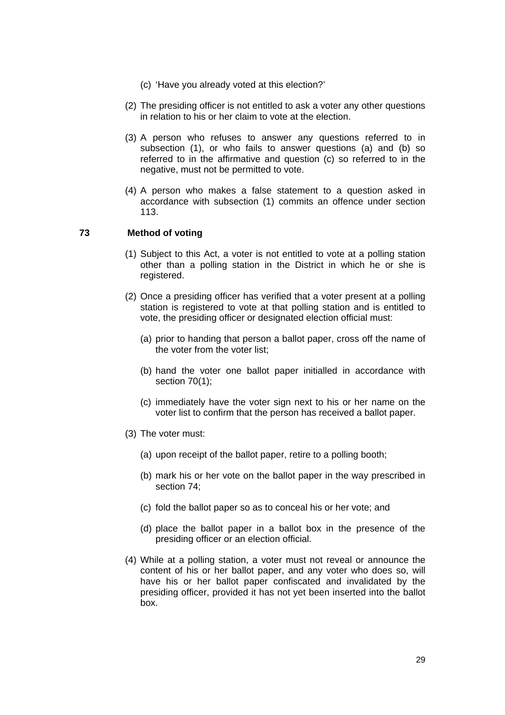- (c) 'Have you already voted at this election?'
- (2) The presiding officer is not entitled to ask a voter any other questions in relation to his or her claim to vote at the election.
- (3) A person who refuses to answer any questions referred to in subsection (1), or who fails to answer questions (a) and (b) so referred to in the affirmative and question (c) so referred to in the negative, must not be permitted to vote.
- (4) A person who makes a false statement to a question asked in accordance with subsection (1) commits an offence under section 113.

# **73 Method of voting**

- (1) Subject to this Act, a voter is not entitled to vote at a polling station other than a polling station in the District in which he or she is registered.
- (2) Once a presiding officer has verified that a voter present at a polling station is registered to vote at that polling station and is entitled to vote, the presiding officer or designated election official must:
	- (a) prior to handing that person a ballot paper, cross off the name of the voter from the voter list;
	- (b) hand the voter one ballot paper initialled in accordance with section 70(1);
	- (c) immediately have the voter sign next to his or her name on the voter list to confirm that the person has received a ballot paper.
- (3) The voter must:
	- (a) upon receipt of the ballot paper, retire to a polling booth;
	- (b) mark his or her vote on the ballot paper in the way prescribed in section 74;
	- (c) fold the ballot paper so as to conceal his or her vote; and
	- (d) place the ballot paper in a ballot box in the presence of the presiding officer or an election official.
- (4) While at a polling station, a voter must not reveal or announce the content of his or her ballot paper, and any voter who does so, will have his or her ballot paper confiscated and invalidated by the presiding officer, provided it has not yet been inserted into the ballot box.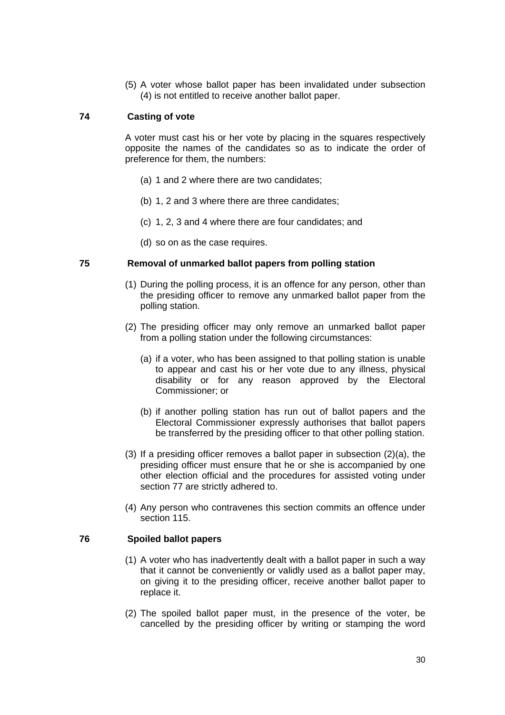(5) A voter whose ballot paper has been invalidated under subsection (4) is not entitled to receive another ballot paper.

# **74 Casting of vote**

A voter must cast his or her vote by placing in the squares respectively opposite the names of the candidates so as to indicate the order of preference for them, the numbers:

- (a) 1 and 2 where there are two candidates;
- (b) 1, 2 and 3 where there are three candidates;
- (c) 1, 2, 3 and 4 where there are four candidates; and
- (d) so on as the case requires.

## **75 Removal of unmarked ballot papers from polling station**

- (1) During the polling process, it is an offence for any person, other than the presiding officer to remove any unmarked ballot paper from the polling station.
- (2) The presiding officer may only remove an unmarked ballot paper from a polling station under the following circumstances:
	- (a) if a voter, who has been assigned to that polling station is unable to appear and cast his or her vote due to any illness, physical disability or for any reason approved by the Electoral Commissioner; or
	- (b) if another polling station has run out of ballot papers and the Electoral Commissioner expressly authorises that ballot papers be transferred by the presiding officer to that other polling station.
- (3) If a presiding officer removes a ballot paper in subsection (2)(a), the presiding officer must ensure that he or she is accompanied by one other election official and the procedures for assisted voting under section 77 are strictly adhered to.
- (4) Any person who contravenes this section commits an offence under section 115.

# **76 Spoiled ballot papers**

- (1) A voter who has inadvertently dealt with a ballot paper in such a way that it cannot be conveniently or validly used as a ballot paper may, on giving it to the presiding officer, receive another ballot paper to replace it.
- (2) The spoiled ballot paper must, in the presence of the voter, be cancelled by the presiding officer by writing or stamping the word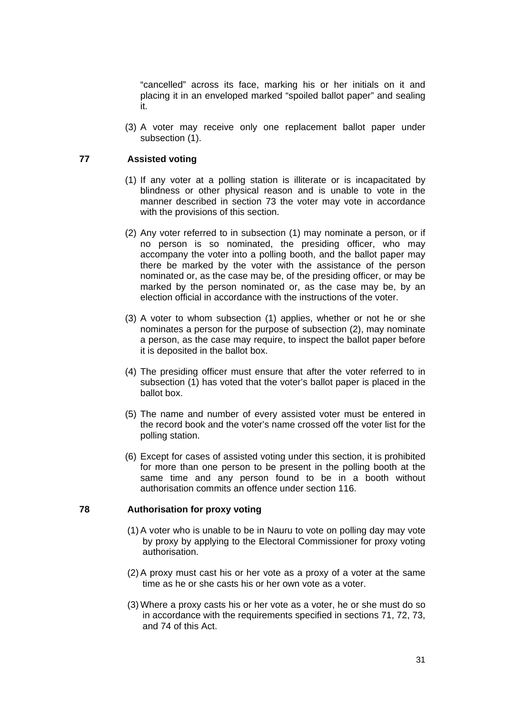"cancelled" across its face, marking his or her initials on it and placing it in an enveloped marked "spoiled ballot paper" and sealing it.

(3) A voter may receive only one replacement ballot paper under subsection (1).

# **77 Assisted voting**

- (1) If any voter at a polling station is illiterate or is incapacitated by blindness or other physical reason and is unable to vote in the manner described in section 73 the voter may vote in accordance with the provisions of this section.
- (2) Any voter referred to in subsection (1) may nominate a person, or if no person is so nominated, the presiding officer, who may accompany the voter into a polling booth, and the ballot paper may there be marked by the voter with the assistance of the person nominated or, as the case may be, of the presiding officer, or may be marked by the person nominated or, as the case may be, by an election official in accordance with the instructions of the voter.
- (3) A voter to whom subsection (1) applies, whether or not he or she nominates a person for the purpose of subsection (2), may nominate a person, as the case may require, to inspect the ballot paper before it is deposited in the ballot box.
- (4) The presiding officer must ensure that after the voter referred to in subsection (1) has voted that the voter's ballot paper is placed in the ballot box.
- (5) The name and number of every assisted voter must be entered in the record book and the voter's name crossed off the voter list for the polling station.
- (6) Except for cases of assisted voting under this section, it is prohibited for more than one person to be present in the polling booth at the same time and any person found to be in a booth without authorisation commits an offence under section 116.

# **78 Authorisation for proxy voting**

- (1) A voter who is unable to be in Nauru to vote on polling day may vote by proxy by applying to the Electoral Commissioner for proxy voting authorisation.
- (2) A proxy must cast his or her vote as a proxy of a voter at the same time as he or she casts his or her own vote as a voter.
- (3) Where a proxy casts his or her vote as a voter, he or she must do so in accordance with the requirements specified in sections 71, 72, 73, and 74 of this Act.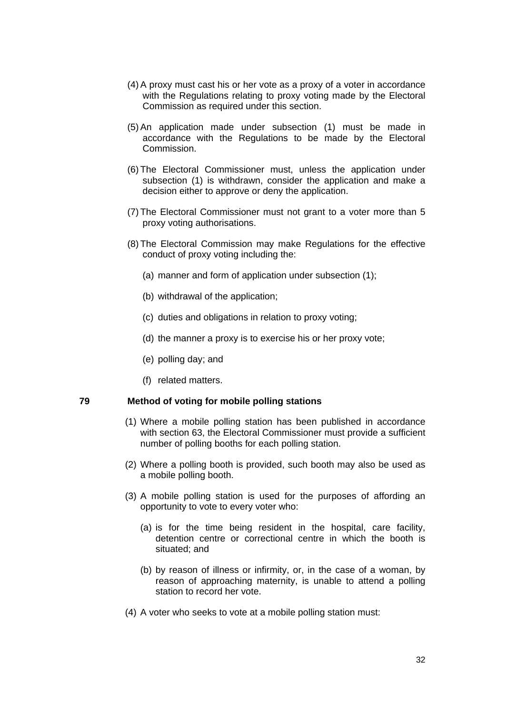- (4) A proxy must cast his or her vote as a proxy of a voter in accordance with the Regulations relating to proxy voting made by the Electoral Commission as required under this section.
- (5) An application made under subsection (1) must be made in accordance with the Regulations to be made by the Electoral Commission.
- (6) The Electoral Commissioner must, unless the application under subsection (1) is withdrawn, consider the application and make a decision either to approve or deny the application.
- (7) The Electoral Commissioner must not grant to a voter more than 5 proxy voting authorisations.
- (8) The Electoral Commission may make Regulations for the effective conduct of proxy voting including the:
	- (a) manner and form of application under subsection (1);
	- (b) withdrawal of the application;
	- (c) duties and obligations in relation to proxy voting;
	- (d) the manner a proxy is to exercise his or her proxy vote;
	- (e) polling day; and
	- (f) related matters.

#### **79 Method of voting for mobile polling stations**

- (1) Where a mobile polling station has been published in accordance with section 63, the Electoral Commissioner must provide a sufficient number of polling booths for each polling station.
- (2) Where a polling booth is provided, such booth may also be used as a mobile polling booth.
- (3) A mobile polling station is used for the purposes of affording an opportunity to vote to every voter who:
	- (a) is for the time being resident in the hospital, care facility, detention centre or correctional centre in which the booth is situated; and
	- (b) by reason of illness or infirmity, or, in the case of a woman, by reason of approaching maternity, is unable to attend a polling station to record her vote.
- (4) A voter who seeks to vote at a mobile polling station must: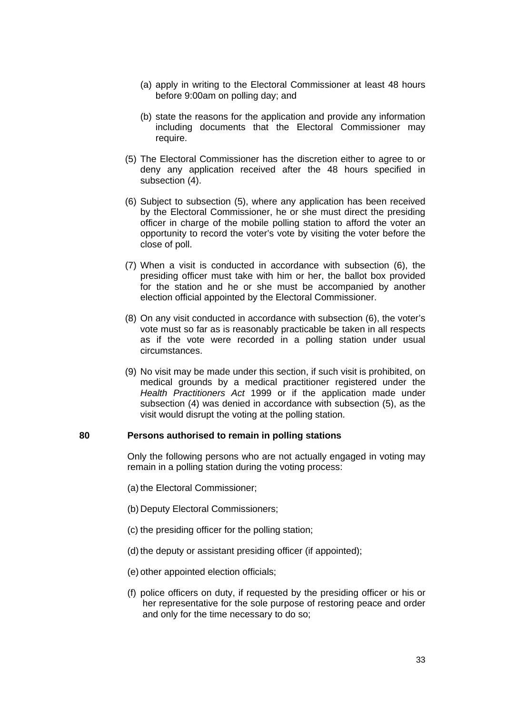- (a) apply in writing to the Electoral Commissioner at least 48 hours before 9:00am on polling day; and
- (b) state the reasons for the application and provide any information including documents that the Electoral Commissioner may require.
- (5) The Electoral Commissioner has the discretion either to agree to or deny any application received after the 48 hours specified in subsection (4).
- (6) Subject to subsection (5), where any application has been received by the Electoral Commissioner, he or she must direct the presiding officer in charge of the mobile polling station to afford the voter an opportunity to record the voter's vote by visiting the voter before the close of poll.
- (7) When a visit is conducted in accordance with subsection (6), the presiding officer must take with him or her, the ballot box provided for the station and he or she must be accompanied by another election official appointed by the Electoral Commissioner.
- (8) On any visit conducted in accordance with subsection (6), the voter's vote must so far as is reasonably practicable be taken in all respects as if the vote were recorded in a polling station under usual circumstances.
- (9) No visit may be made under this section, if such visit is prohibited, on medical grounds by a medical practitioner registered under the *Health Practitioners Act* 1999 or if the application made under subsection (4) was denied in accordance with subsection (5), as the visit would disrupt the voting at the polling station.

#### **80 Persons authorised to remain in polling stations**

Only the following persons who are not actually engaged in voting may remain in a polling station during the voting process:

- (a) the Electoral Commissioner;
- (b) Deputy Electoral Commissioners;
- (c) the presiding officer for the polling station;
- (d) the deputy or assistant presiding officer (if appointed);
- (e) other appointed election officials;
- (f) police officers on duty, if requested by the presiding officer or his or her representative for the sole purpose of restoring peace and order and only for the time necessary to do so;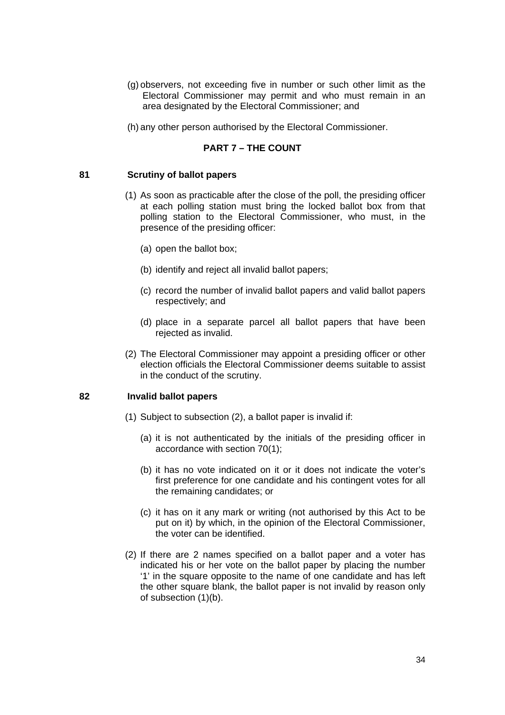- (g) observers, not exceeding five in number or such other limit as the Electoral Commissioner may permit and who must remain in an area designated by the Electoral Commissioner; and
- (h) any other person authorised by the Electoral Commissioner.

#### **PART 7 – THE COUNT**

#### **81 Scrutiny of ballot papers**

- (1) As soon as practicable after the close of the poll, the presiding officer at each polling station must bring the locked ballot box from that polling station to the Electoral Commissioner, who must, in the presence of the presiding officer:
	- (a) open the ballot box;
	- (b) identify and reject all invalid ballot papers;
	- (c) record the number of invalid ballot papers and valid ballot papers respectively; and
	- (d) place in a separate parcel all ballot papers that have been rejected as invalid.
- (2) The Electoral Commissioner may appoint a presiding officer or other election officials the Electoral Commissioner deems suitable to assist in the conduct of the scrutiny.

#### **82 Invalid ballot papers**

- (1) Subject to subsection (2), a ballot paper is invalid if:
	- (a) it is not authenticated by the initials of the presiding officer in accordance with section 70(1);
	- (b) it has no vote indicated on it or it does not indicate the voter's first preference for one candidate and his contingent votes for all the remaining candidates; or
	- (c) it has on it any mark or writing (not authorised by this Act to be put on it) by which, in the opinion of the Electoral Commissioner, the voter can be identified.
- (2) If there are 2 names specified on a ballot paper and a voter has indicated his or her vote on the ballot paper by placing the number '1' in the square opposite to the name of one candidate and has left the other square blank, the ballot paper is not invalid by reason only of subsection (1)(b).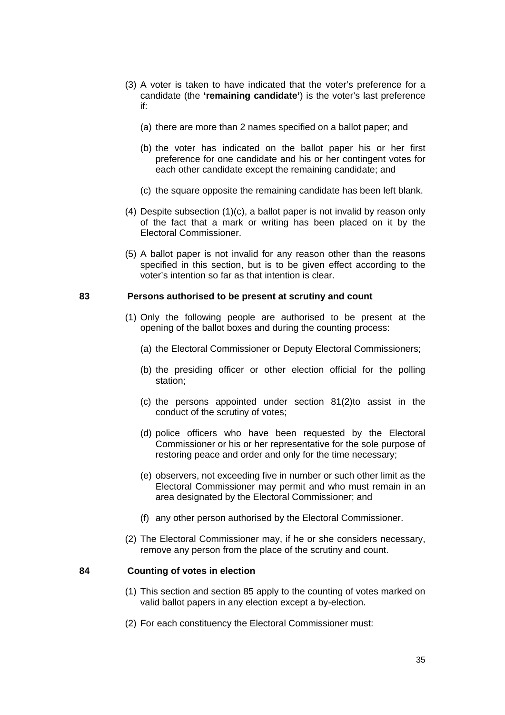- (3) A voter is taken to have indicated that the voter's preference for a candidate (the **'remaining candidate'**) is the voter's last preference if:
	- (a) there are more than 2 names specified on a ballot paper; and
	- (b) the voter has indicated on the ballot paper his or her first preference for one candidate and his or her contingent votes for each other candidate except the remaining candidate; and
	- (c) the square opposite the remaining candidate has been left blank.
- (4) Despite subsection (1)(c), a ballot paper is not invalid by reason only of the fact that a mark or writing has been placed on it by the Electoral Commissioner.
- (5) A ballot paper is not invalid for any reason other than the reasons specified in this section, but is to be given effect according to the voter's intention so far as that intention is clear.

#### **83 Persons authorised to be present at scrutiny and count**

- (1) Only the following people are authorised to be present at the opening of the ballot boxes and during the counting process:
	- (a) the Electoral Commissioner or Deputy Electoral Commissioners;
	- (b) the presiding officer or other election official for the polling station;
	- (c) the persons appointed under section 81(2)to assist in the conduct of the scrutiny of votes;
	- (d) police officers who have been requested by the Electoral Commissioner or his or her representative for the sole purpose of restoring peace and order and only for the time necessary;
	- (e) observers, not exceeding five in number or such other limit as the Electoral Commissioner may permit and who must remain in an area designated by the Electoral Commissioner; and
	- (f) any other person authorised by the Electoral Commissioner.
- (2) The Electoral Commissioner may, if he or she considers necessary, remove any person from the place of the scrutiny and count.

#### **84 Counting of votes in election**

- (1) This section and section 85 apply to the counting of votes marked on valid ballot papers in any election except a by-election.
- (2) For each constituency the Electoral Commissioner must: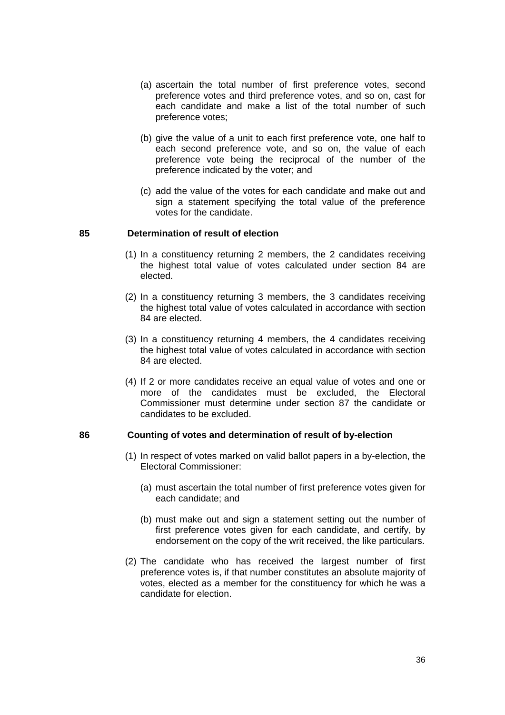- (a) ascertain the total number of first preference votes, second preference votes and third preference votes, and so on, cast for each candidate and make a list of the total number of such preference votes;
- (b) give the value of a unit to each first preference vote, one half to each second preference vote, and so on, the value of each preference vote being the reciprocal of the number of the preference indicated by the voter; and
- (c) add the value of the votes for each candidate and make out and sign a statement specifying the total value of the preference votes for the candidate.

#### **85 Determination of result of election**

- (1) In a constituency returning 2 members, the 2 candidates receiving the highest total value of votes calculated under section 84 are elected.
- (2) In a constituency returning 3 members, the 3 candidates receiving the highest total value of votes calculated in accordance with section 84 are elected.
- (3) In a constituency returning 4 members, the 4 candidates receiving the highest total value of votes calculated in accordance with section 84 are elected.
- (4) If 2 or more candidates receive an equal value of votes and one or more of the candidates must be excluded, the Electoral Commissioner must determine under section 87 the candidate or candidates to be excluded.

#### **86 Counting of votes and determination of result of by-election**

- (1) In respect of votes marked on valid ballot papers in a by-election, the Electoral Commissioner:
	- (a) must ascertain the total number of first preference votes given for each candidate; and
	- (b) must make out and sign a statement setting out the number of first preference votes given for each candidate, and certify, by endorsement on the copy of the writ received, the like particulars.
- (2) The candidate who has received the largest number of first preference votes is, if that number constitutes an absolute majority of votes, elected as a member for the constituency for which he was a candidate for election.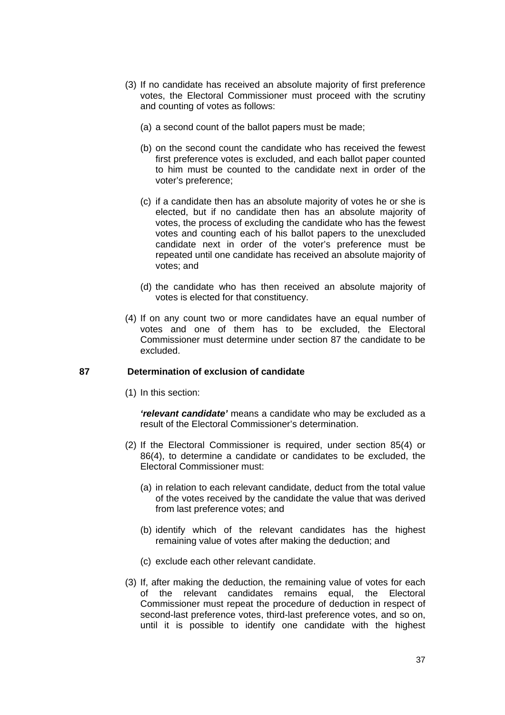- (3) If no candidate has received an absolute majority of first preference votes, the Electoral Commissioner must proceed with the scrutiny and counting of votes as follows:
	- (a) a second count of the ballot papers must be made;
	- (b) on the second count the candidate who has received the fewest first preference votes is excluded, and each ballot paper counted to him must be counted to the candidate next in order of the voter's preference;
	- (c) if a candidate then has an absolute majority of votes he or she is elected, but if no candidate then has an absolute majority of votes, the process of excluding the candidate who has the fewest votes and counting each of his ballot papers to the unexcluded candidate next in order of the voter's preference must be repeated until one candidate has received an absolute majority of votes; and
	- (d) the candidate who has then received an absolute majority of votes is elected for that constituency.
- (4) If on any count two or more candidates have an equal number of votes and one of them has to be excluded, the Electoral Commissioner must determine under section 87 the candidate to be excluded.

#### **87 Determination of exclusion of candidate**

(1) In this section:

*'relevant candidate'* means a candidate who may be excluded as a result of the Electoral Commissioner's determination.

- (2) If the Electoral Commissioner is required, under section 85(4) or 86(4), to determine a candidate or candidates to be excluded, the Electoral Commissioner must:
	- (a) in relation to each relevant candidate, deduct from the total value of the votes received by the candidate the value that was derived from last preference votes; and
	- (b) identify which of the relevant candidates has the highest remaining value of votes after making the deduction; and
	- (c) exclude each other relevant candidate.
- (3) If, after making the deduction, the remaining value of votes for each of the relevant candidates remains equal, the Electoral Commissioner must repeat the procedure of deduction in respect of second-last preference votes, third-last preference votes, and so on, until it is possible to identify one candidate with the highest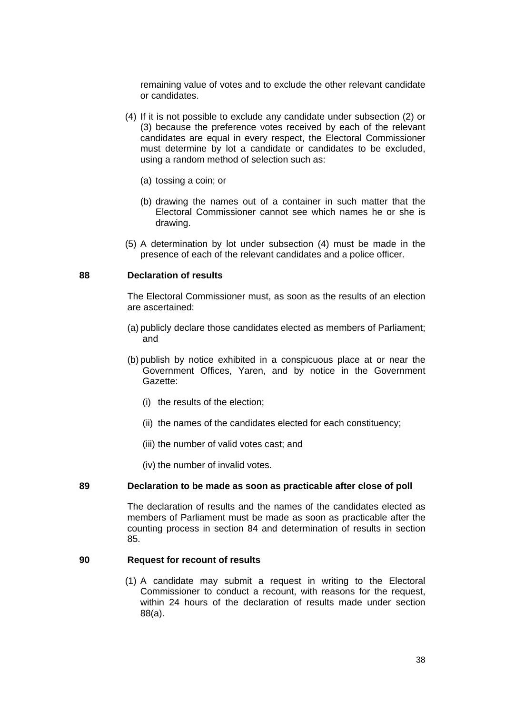remaining value of votes and to exclude the other relevant candidate or candidates.

- (4) If it is not possible to exclude any candidate under subsection (2) or (3) because the preference votes received by each of the relevant candidates are equal in every respect, the Electoral Commissioner must determine by lot a candidate or candidates to be excluded, using a random method of selection such as:
	- (a) tossing a coin; or
	- (b) drawing the names out of a container in such matter that the Electoral Commissioner cannot see which names he or she is drawing.
- (5) A determination by lot under subsection (4) must be made in the presence of each of the relevant candidates and a police officer.

#### **88 Declaration of results**

The Electoral Commissioner must, as soon as the results of an election are ascertained:

- (a) publicly declare those candidates elected as members of Parliament; and
- (b) publish by notice exhibited in a conspicuous place at or near the Government Offices, Yaren, and by notice in the Government Gazette:
	- (i) the results of the election;
	- (ii) the names of the candidates elected for each constituency;
	- (iii) the number of valid votes cast; and
	- (iv) the number of invalid votes.

#### **89 Declaration to be made as soon as practicable after close of poll**

The declaration of results and the names of the candidates elected as members of Parliament must be made as soon as practicable after the counting process in section 84 and determination of results in section 85.

#### **90 Request for recount of results**

(1) A candidate may submit a request in writing to the Electoral Commissioner to conduct a recount, with reasons for the request, within 24 hours of the declaration of results made under section 88(a).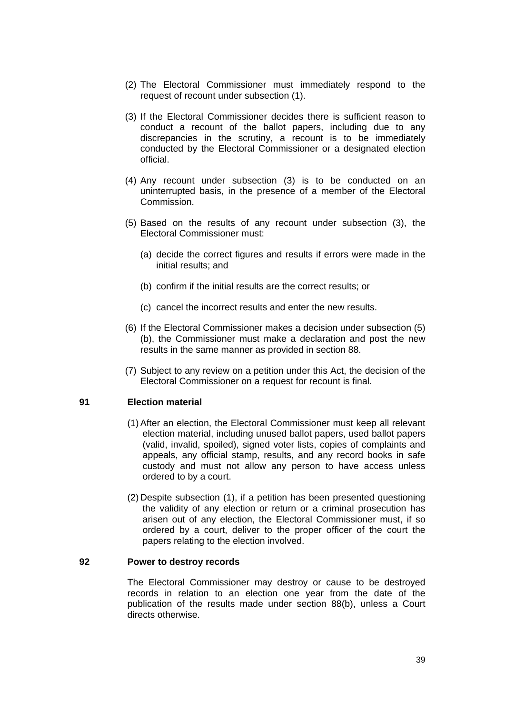- (2) The Electoral Commissioner must immediately respond to the request of recount under subsection (1).
- (3) If the Electoral Commissioner decides there is sufficient reason to conduct a recount of the ballot papers, including due to any discrepancies in the scrutiny, a recount is to be immediately conducted by the Electoral Commissioner or a designated election official.
- (4) Any recount under subsection (3) is to be conducted on an uninterrupted basis, in the presence of a member of the Electoral Commission.
- (5) Based on the results of any recount under subsection (3), the Electoral Commissioner must:
	- (a) decide the correct figures and results if errors were made in the initial results; and
	- (b) confirm if the initial results are the correct results; or
	- (c) cancel the incorrect results and enter the new results.
- (6) If the Electoral Commissioner makes a decision under subsection (5) (b), the Commissioner must make a declaration and post the new results in the same manner as provided in section 88.
- (7) Subject to any review on a petition under this Act, the decision of the Electoral Commissioner on a request for recount is final.

## **91 Election material**

- (1) After an election, the Electoral Commissioner must keep all relevant election material, including unused ballot papers, used ballot papers (valid, invalid, spoiled), signed voter lists, copies of complaints and appeals, any official stamp, results, and any record books in safe custody and must not allow any person to have access unless ordered to by a court.
- (2) Despite subsection (1), if a petition has been presented questioning the validity of any election or return or a criminal prosecution has arisen out of any election, the Electoral Commissioner must, if so ordered by a court, deliver to the proper officer of the court the papers relating to the election involved.

#### **92 Power to destroy records**

The Electoral Commissioner may destroy or cause to be destroyed records in relation to an election one year from the date of the publication of the results made under section 88(b), unless a Court directs otherwise.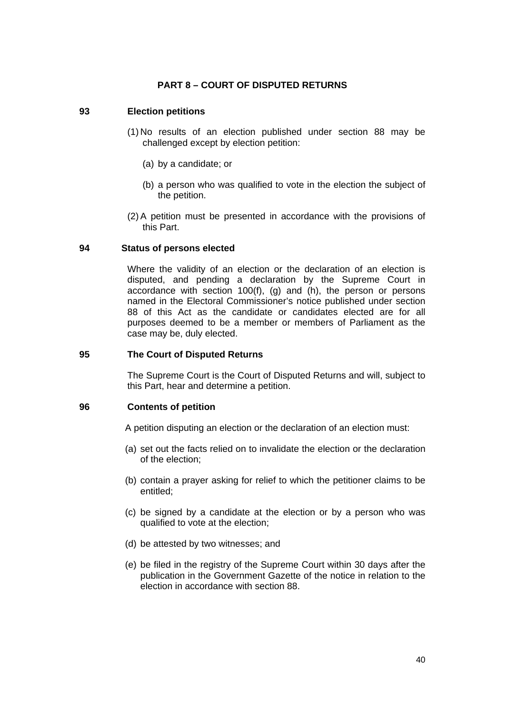# **PART 8 – COURT OF DISPUTED RETURNS**

# **93 Election petitions**

- (1) No results of an election published under section 88 may be challenged except by election petition:
	- (a) by a candidate; or
	- (b) a person who was qualified to vote in the election the subject of the petition.
- (2) A petition must be presented in accordance with the provisions of this Part.

#### **94 Status of persons elected**

Where the validity of an election or the declaration of an election is disputed, and pending a declaration by the Supreme Court in accordance with section 100(f), (g) and (h), the person or persons named in the Electoral Commissioner's notice published under section 88 of this Act as the candidate or candidates elected are for all purposes deemed to be a member or members of Parliament as the case may be, duly elected.

#### **95 The Court of Disputed Returns**

The Supreme Court is the Court of Disputed Returns and will, subject to this Part, hear and determine a petition.

#### **96 Contents of petition**

A petition disputing an election or the declaration of an election must:

- (a) set out the facts relied on to invalidate the election or the declaration of the election;
- (b) contain a prayer asking for relief to which the petitioner claims to be entitled;
- (c) be signed by a candidate at the election or by a person who was qualified to vote at the election;
- (d) be attested by two witnesses; and
- (e) be filed in the registry of the Supreme Court within 30 days after the publication in the Government Gazette of the notice in relation to the election in accordance with section 88.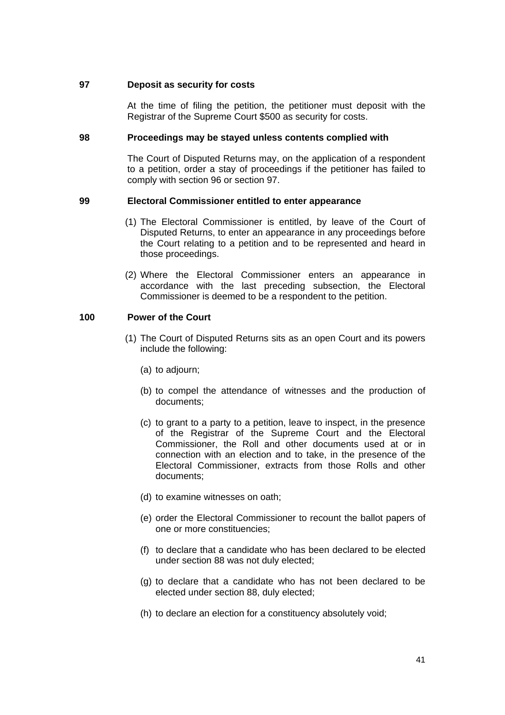## **97 Deposit as security for costs**

At the time of filing the petition, the petitioner must deposit with the Registrar of the Supreme Court \$500 as security for costs.

## **98 Proceedings may be stayed unless contents complied with**

The Court of Disputed Returns may, on the application of a respondent to a petition, order a stay of proceedings if the petitioner has failed to comply with section 96 or section 97.

## **99 Electoral Commissioner entitled to enter appearance**

- (1) The Electoral Commissioner is entitled, by leave of the Court of Disputed Returns, to enter an appearance in any proceedings before the Court relating to a petition and to be represented and heard in those proceedings.
- (2) Where the Electoral Commissioner enters an appearance in accordance with the last preceding subsection, the Electoral Commissioner is deemed to be a respondent to the petition.

## **100 Power of the Court**

- (1) The Court of Disputed Returns sits as an open Court and its powers include the following:
	- (a) to adjourn;
	- (b) to compel the attendance of witnesses and the production of documents;
	- (c) to grant to a party to a petition, leave to inspect, in the presence of the Registrar of the Supreme Court and the Electoral Commissioner, the Roll and other documents used at or in connection with an election and to take, in the presence of the Electoral Commissioner, extracts from those Rolls and other documents;
	- (d) to examine witnesses on oath;
	- (e) order the Electoral Commissioner to recount the ballot papers of one or more constituencies;
	- (f) to declare that a candidate who has been declared to be elected under section 88 was not duly elected;
	- (g) to declare that a candidate who has not been declared to be elected under section 88, duly elected;
	- (h) to declare an election for a constituency absolutely void;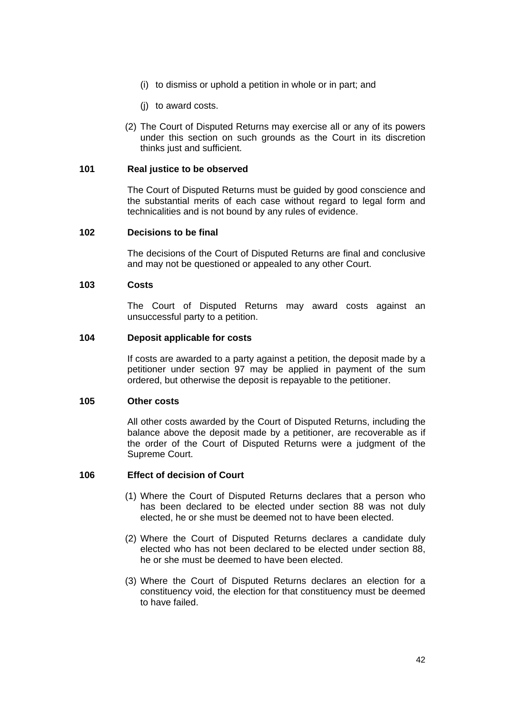- (i) to dismiss or uphold a petition in whole or in part; and
- (j) to award costs.
- (2) The Court of Disputed Returns may exercise all or any of its powers under this section on such grounds as the Court in its discretion thinks just and sufficient.

## **101 Real justice to be observed**

The Court of Disputed Returns must be guided by good conscience and the substantial merits of each case without regard to legal form and technicalities and is not bound by any rules of evidence.

## **102 Decisions to be final**

The decisions of the Court of Disputed Returns are final and conclusive and may not be questioned or appealed to any other Court.

#### **103 Costs**

The Court of Disputed Returns may award costs against an unsuccessful party to a petition.

#### **104 Deposit applicable for costs**

If costs are awarded to a party against a petition, the deposit made by a petitioner under section 97 may be applied in payment of the sum ordered, but otherwise the deposit is repayable to the petitioner.

#### **105 Other costs**

All other costs awarded by the Court of Disputed Returns, including the balance above the deposit made by a petitioner, are recoverable as if the order of the Court of Disputed Returns were a judgment of the Supreme Court.

#### **106 Effect of decision of Court**

- (1) Where the Court of Disputed Returns declares that a person who has been declared to be elected under section 88 was not duly elected, he or she must be deemed not to have been elected.
- (2) Where the Court of Disputed Returns declares a candidate duly elected who has not been declared to be elected under section 88, he or she must be deemed to have been elected.
- (3) Where the Court of Disputed Returns declares an election for a constituency void, the election for that constituency must be deemed to have failed.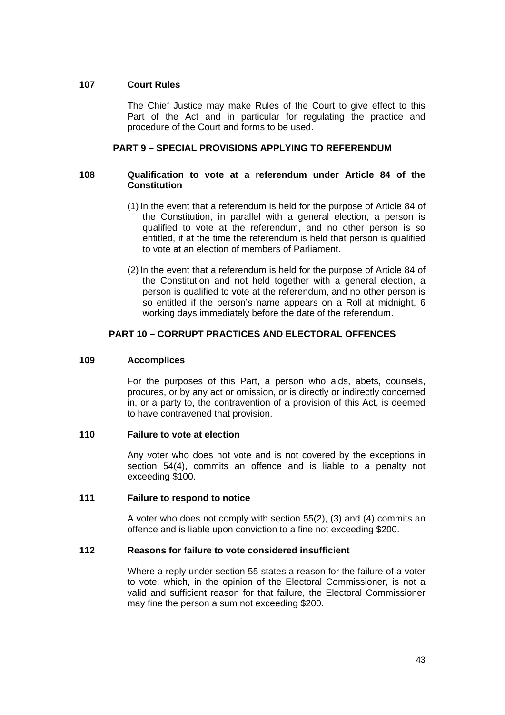# **107 Court Rules**

The Chief Justice may make Rules of the Court to give effect to this Part of the Act and in particular for regulating the practice and procedure of the Court and forms to be used.

# **PART 9 – SPECIAL PROVISIONS APPLYING TO REFERENDUM**

## **108 Qualification to vote at a referendum under Article 84 of the Constitution**

- (1) In the event that a referendum is held for the purpose of Article 84 of the Constitution, in parallel with a general election, a person is qualified to vote at the referendum, and no other person is so entitled, if at the time the referendum is held that person is qualified to vote at an election of members of Parliament.
- (2) In the event that a referendum is held for the purpose of Article 84 of the Constitution and not held together with a general election, a person is qualified to vote at the referendum, and no other person is so entitled if the person's name appears on a Roll at midnight, 6 working days immediately before the date of the referendum.

# **PART 10 – CORRUPT PRACTICES AND ELECTORAL OFFENCES**

#### **109 Accomplices**

For the purposes of this Part, a person who aids, abets, counsels, procures, or by any act or omission, or is directly or indirectly concerned in, or a party to, the contravention of a provision of this Act, is deemed to have contravened that provision.

#### **110 Failure to vote at election**

Any voter who does not vote and is not covered by the exceptions in section 54(4), commits an offence and is liable to a penalty not exceeding \$100.

## **111 Failure to respond to notice**

A voter who does not comply with section 55(2), (3) and (4) commits an offence and is liable upon conviction to a fine not exceeding \$200.

#### **112 Reasons for failure to vote considered insufficient**

Where a reply under section 55 states a reason for the failure of a voter to vote, which, in the opinion of the Electoral Commissioner, is not a valid and sufficient reason for that failure, the Electoral Commissioner may fine the person a sum not exceeding \$200.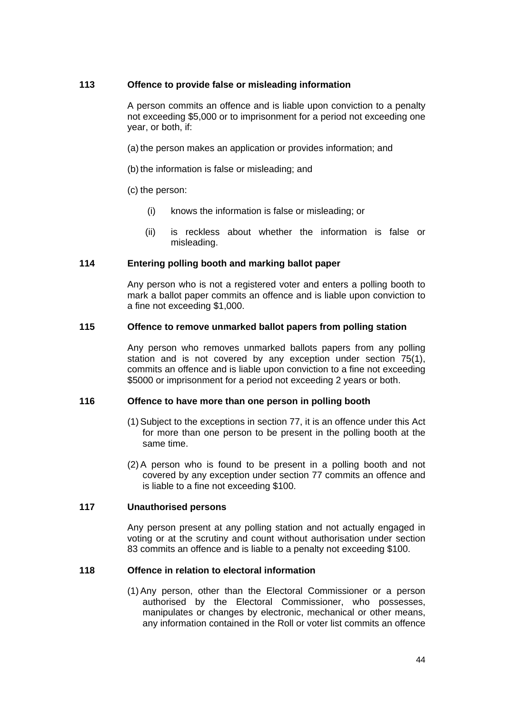# **113 Offence to provide false or misleading information**

A person commits an offence and is liable upon conviction to a penalty not exceeding \$5,000 or to imprisonment for a period not exceeding one year, or both, if:

- (a) the person makes an application or provides information; and
- (b) the information is false or misleading; and
- (c) the person:
	- (i) knows the information is false or misleading; or
	- (ii) is reckless about whether the information is false or misleading.

## **114 Entering polling booth and marking ballot paper**

Any person who is not a registered voter and enters a polling booth to mark a ballot paper commits an offence and is liable upon conviction to a fine not exceeding \$1,000.

#### **115 Offence to remove unmarked ballot papers from polling station**

Any person who removes unmarked ballots papers from any polling station and is not covered by any exception under section 75(1), commits an offence and is liable upon conviction to a fine not exceeding \$5000 or imprisonment for a period not exceeding 2 years or both.

# **116 Offence to have more than one person in polling booth**

- (1) Subject to the exceptions in section 77, it is an offence under this Act for more than one person to be present in the polling booth at the same time.
- (2) A person who is found to be present in a polling booth and not covered by any exception under section 77 commits an offence and is liable to a fine not exceeding \$100.

# **117 Unauthorised persons**

Any person present at any polling station and not actually engaged in voting or at the scrutiny and count without authorisation under section 83 commits an offence and is liable to a penalty not exceeding \$100.

#### **118 Offence in relation to electoral information**

(1) Any person, other than the Electoral Commissioner or a person authorised by the Electoral Commissioner, who possesses, manipulates or changes by electronic, mechanical or other means, any information contained in the Roll or voter list commits an offence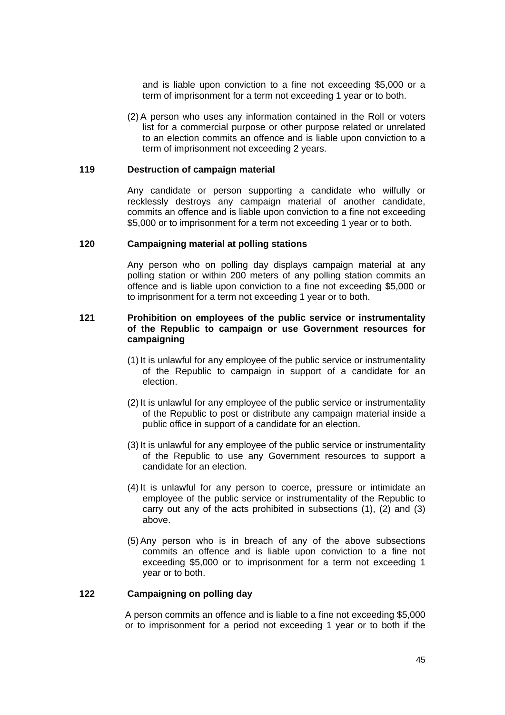and is liable upon conviction to a fine not exceeding \$5,000 or a term of imprisonment for a term not exceeding 1 year or to both.

(2) A person who uses any information contained in the Roll or voters list for a commercial purpose or other purpose related or unrelated to an election commits an offence and is liable upon conviction to a term of imprisonment not exceeding 2 years.

#### **119 Destruction of campaign material**

Any candidate or person supporting a candidate who wilfully or recklessly destroys any campaign material of another candidate, commits an offence and is liable upon conviction to a fine not exceeding \$5,000 or to imprisonment for a term not exceeding 1 year or to both.

#### **120 Campaigning material at polling stations**

Any person who on polling day displays campaign material at any polling station or within 200 meters of any polling station commits an offence and is liable upon conviction to a fine not exceeding \$5,000 or to imprisonment for a term not exceeding 1 year or to both.

## **121 Prohibition on employees of the public service or instrumentality of the Republic to campaign or use Government resources for campaigning**

- (1) It is unlawful for any employee of the public service or instrumentality of the Republic to campaign in support of a candidate for an election.
- (2) It is unlawful for any employee of the public service or instrumentality of the Republic to post or distribute any campaign material inside a public office in support of a candidate for an election.
- (3) It is unlawful for any employee of the public service or instrumentality of the Republic to use any Government resources to support a candidate for an election.
- (4) It is unlawful for any person to coerce, pressure or intimidate an employee of the public service or instrumentality of the Republic to carry out any of the acts prohibited in subsections (1), (2) and (3) above.
- (5) Any person who is in breach of any of the above subsections commits an offence and is liable upon conviction to a fine not exceeding \$5,000 or to imprisonment for a term not exceeding 1 year or to both.

#### **122 Campaigning on polling day**

A person commits an offence and is liable to a fine not exceeding \$5,000 or to imprisonment for a period not exceeding 1 year or to both if the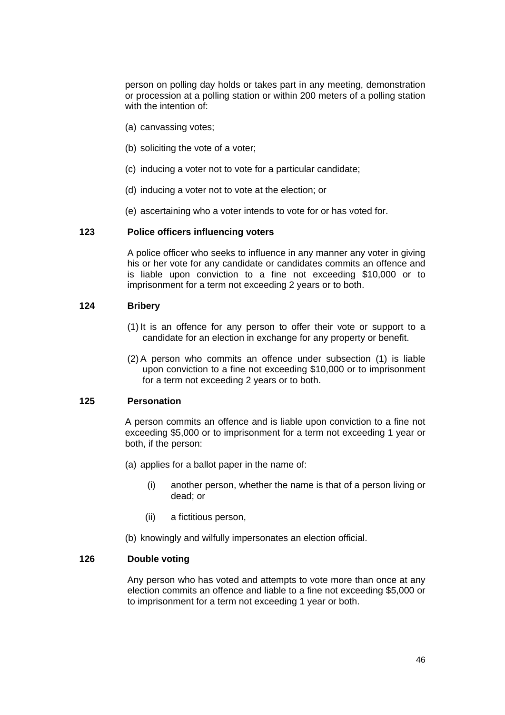person on polling day holds or takes part in any meeting, demonstration or procession at a polling station or within 200 meters of a polling station with the intention of:

- (a) canvassing votes;
- (b) soliciting the vote of a voter;
- (c) inducing a voter not to vote for a particular candidate;
- (d) inducing a voter not to vote at the election; or
- (e) ascertaining who a voter intends to vote for or has voted for.

## **123 Police officers influencing voters**

A police officer who seeks to influence in any manner any voter in giving his or her vote for any candidate or candidates commits an offence and is liable upon conviction to a fine not exceeding \$10,000 or to imprisonment for a term not exceeding 2 years or to both.

## **124 Bribery**

- (1) It is an offence for any person to offer their vote or support to a candidate for an election in exchange for any property or benefit.
- (2) A person who commits an offence under subsection (1) is liable upon conviction to a fine not exceeding \$10,000 or to imprisonment for a term not exceeding 2 years or to both.

#### **125 Personation**

A person commits an offence and is liable upon conviction to a fine not exceeding \$5,000 or to imprisonment for a term not exceeding 1 year or both, if the person:

- (a) applies for a ballot paper in the name of:
	- (i) another person, whether the name is that of a person living or dead; or
	- (ii) a fictitious person,
- (b) knowingly and wilfully impersonates an election official.

#### **126 Double voting**

Any person who has voted and attempts to vote more than once at any election commits an offence and liable to a fine not exceeding \$5,000 or to imprisonment for a term not exceeding 1 year or both.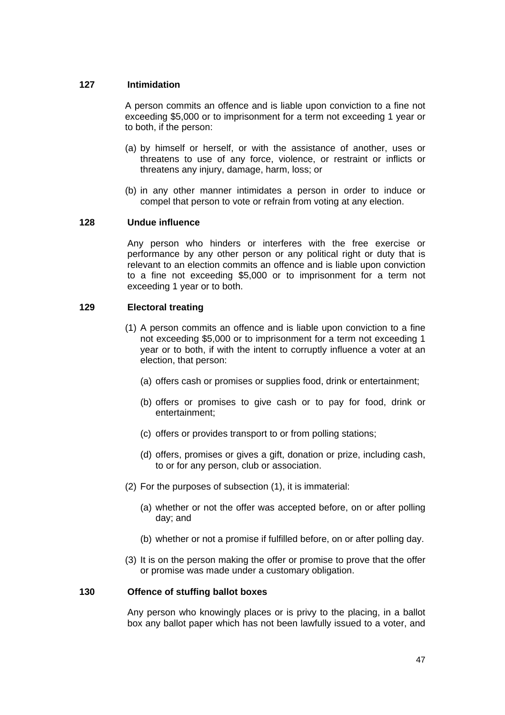# **127 Intimidation**

A person commits an offence and is liable upon conviction to a fine not exceeding \$5,000 or to imprisonment for a term not exceeding 1 year or to both, if the person:

- (a) by himself or herself, or with the assistance of another, uses or threatens to use of any force, violence, or restraint or inflicts or threatens any injury, damage, harm, loss; or
- (b) in any other manner intimidates a person in order to induce or compel that person to vote or refrain from voting at any election.

## **128 Undue influence**

Any person who hinders or interferes with the free exercise or performance by any other person or any political right or duty that is relevant to an election commits an offence and is liable upon conviction to a fine not exceeding \$5,000 or to imprisonment for a term not exceeding 1 year or to both.

## **129 Electoral treating**

- (1) A person commits an offence and is liable upon conviction to a fine not exceeding \$5,000 or to imprisonment for a term not exceeding 1 year or to both, if with the intent to corruptly influence a voter at an election, that person:
	- (a) offers cash or promises or supplies food, drink or entertainment;
	- (b) offers or promises to give cash or to pay for food, drink or entertainment;
	- (c) offers or provides transport to or from polling stations;
	- (d) offers, promises or gives a gift, donation or prize, including cash, to or for any person, club or association.
- (2) For the purposes of subsection (1), it is immaterial:
	- (a) whether or not the offer was accepted before, on or after polling day; and
	- (b) whether or not a promise if fulfilled before, on or after polling day.
- (3) It is on the person making the offer or promise to prove that the offer or promise was made under a customary obligation.

#### **130 Offence of stuffing ballot boxes**

Any person who knowingly places or is privy to the placing, in a ballot box any ballot paper which has not been lawfully issued to a voter, and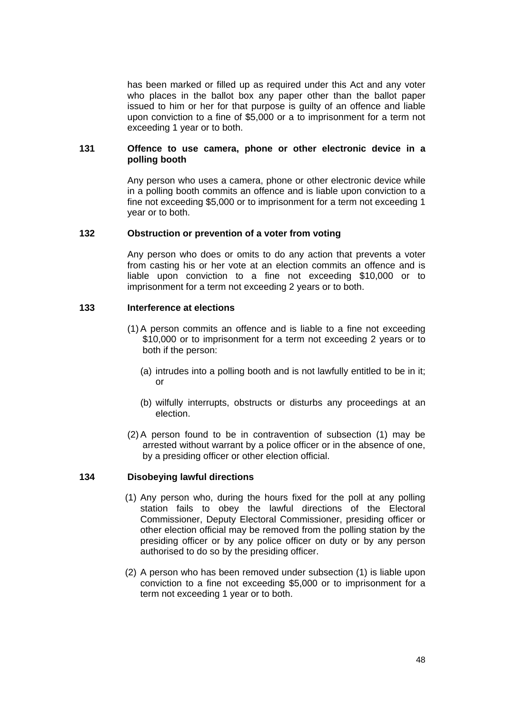has been marked or filled up as required under this Act and any voter who places in the ballot box any paper other than the ballot paper issued to him or her for that purpose is guilty of an offence and liable upon conviction to a fine of \$5,000 or a to imprisonment for a term not exceeding 1 year or to both.

#### **131 Offence to use camera, phone or other electronic device in a polling booth**

Any person who uses a camera, phone or other electronic device while in a polling booth commits an offence and is liable upon conviction to a fine not exceeding \$5,000 or to imprisonment for a term not exceeding 1 year or to both.

#### **132 Obstruction or prevention of a voter from voting**

Any person who does or omits to do any action that prevents a voter from casting his or her vote at an election commits an offence and is liable upon conviction to a fine not exceeding \$10,000 or to imprisonment for a term not exceeding 2 years or to both.

#### **133 Interference at elections**

- (1) A person commits an offence and is liable to a fine not exceeding \$10,000 or to imprisonment for a term not exceeding 2 years or to both if the person:
	- (a) intrudes into a polling booth and is not lawfully entitled to be in it; or
	- (b) wilfully interrupts, obstructs or disturbs any proceedings at an election.
- (2) A person found to be in contravention of subsection (1) may be arrested without warrant by a police officer or in the absence of one, by a presiding officer or other election official.

#### **134 Disobeying lawful directions**

- (1) Any person who, during the hours fixed for the poll at any polling station fails to obey the lawful directions of the Electoral Commissioner, Deputy Electoral Commissioner, presiding officer or other election official may be removed from the polling station by the presiding officer or by any police officer on duty or by any person authorised to do so by the presiding officer.
- (2) A person who has been removed under subsection (1) is liable upon conviction to a fine not exceeding \$5,000 or to imprisonment for a term not exceeding 1 year or to both.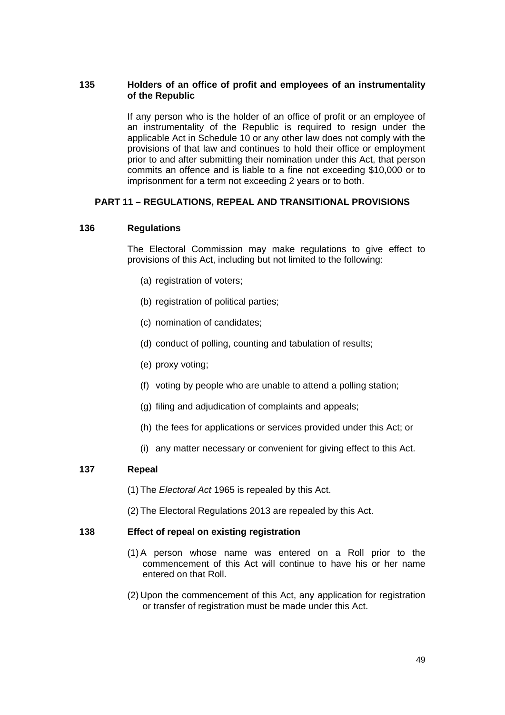# **135 Holders of an office of profit and employees of an instrumentality of the Republic**

If any person who is the holder of an office of profit or an employee of an instrumentality of the Republic is required to resign under the applicable Act in Schedule 10 or any other law does not comply with the provisions of that law and continues to hold their office or employment prior to and after submitting their nomination under this Act, that person commits an offence and is liable to a fine not exceeding \$10,000 or to imprisonment for a term not exceeding 2 years or to both.

# **PART 11 – REGULATIONS, REPEAL AND TRANSITIONAL PROVISIONS**

#### **136 Regulations**

The Electoral Commission may make regulations to give effect to provisions of this Act, including but not limited to the following:

- (a) registration of voters;
- (b) registration of political parties;
- (c) nomination of candidates;
- (d) conduct of polling, counting and tabulation of results;
- (e) proxy voting;
- (f) voting by people who are unable to attend a polling station;
- (g) filing and adjudication of complaints and appeals;
- (h) the fees for applications or services provided under this Act; or
- (i) any matter necessary or convenient for giving effect to this Act.

#### **137 Repeal**

- (1) The *Electoral Act* 1965 is repealed by this Act.
- (2) The Electoral Regulations 2013 are repealed by this Act.

#### **138 Effect of repeal on existing registration**

- (1) A person whose name was entered on a Roll prior to the commencement of this Act will continue to have his or her name entered on that Roll.
- (2) Upon the commencement of this Act, any application for registration or transfer of registration must be made under this Act.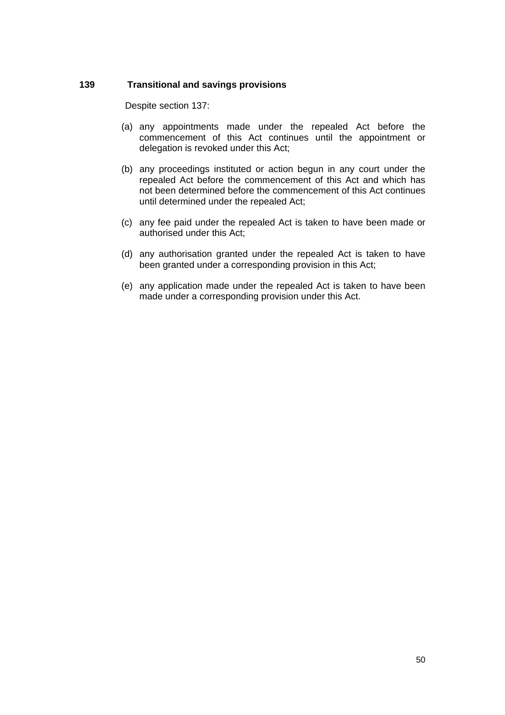# **139 Transitional and savings provisions**

Despite section 137:

- (a) any appointments made under the repealed Act before the commencement of this Act continues until the appointment or delegation is revoked under this Act;
- (b) any proceedings instituted or action begun in any court under the repealed Act before the commencement of this Act and which has not been determined before the commencement of this Act continues until determined under the repealed Act;
- (c) any fee paid under the repealed Act is taken to have been made or authorised under this Act;
- (d) any authorisation granted under the repealed Act is taken to have been granted under a corresponding provision in this Act;
- (e) any application made under the repealed Act is taken to have been made under a corresponding provision under this Act.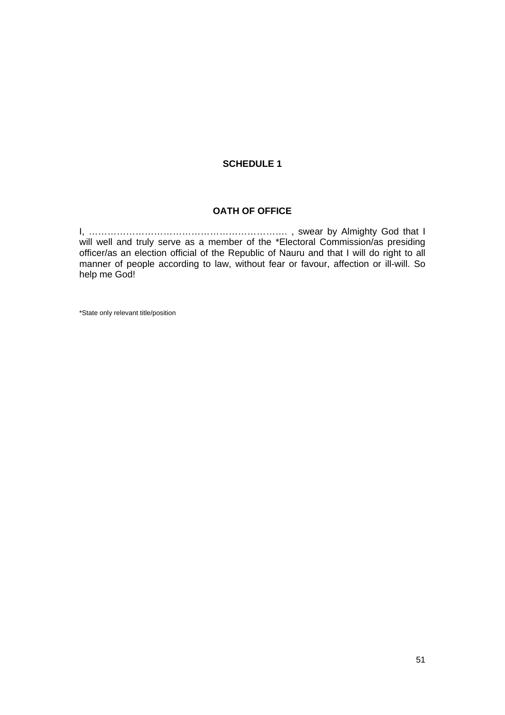# **SCHEDULE 1**

## **OATH OF OFFICE**

I, ………………………………………………………. , swear by Almighty God that I will well and truly serve as a member of the \*Electoral Commission/as presiding officer/as an election official of the Republic of Nauru and that I will do right to all manner of people according to law, without fear or favour, affection or ill-will. So help me God!

\*State only relevant title/position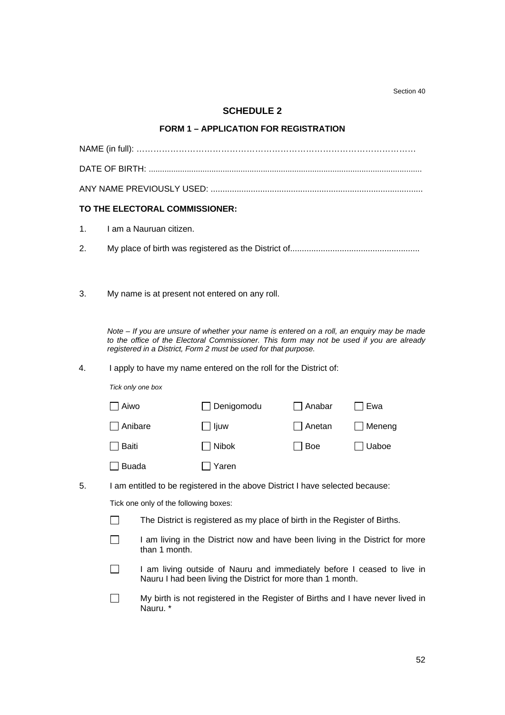Section 40

# **SCHEDULE 2**

## **FORM 1 – APPLICATION FOR REGISTRATION**

|    |                                                                  | TO THE ELECTORAL COMMISSIONER:        |                                                                                                                                                                                                                                                            |                 |          |  |
|----|------------------------------------------------------------------|---------------------------------------|------------------------------------------------------------------------------------------------------------------------------------------------------------------------------------------------------------------------------------------------------------|-----------------|----------|--|
| 1. |                                                                  | I am a Nauruan citizen.               |                                                                                                                                                                                                                                                            |                 |          |  |
| 2. |                                                                  |                                       |                                                                                                                                                                                                                                                            |                 |          |  |
|    |                                                                  |                                       |                                                                                                                                                                                                                                                            |                 |          |  |
| 3. |                                                                  |                                       | My name is at present not entered on any roll.                                                                                                                                                                                                             |                 |          |  |
|    |                                                                  |                                       |                                                                                                                                                                                                                                                            |                 |          |  |
|    |                                                                  |                                       | Note - If you are unsure of whether your name is entered on a roll, an enquiry may be made<br>to the office of the Electoral Commissioner. This form may not be used if you are already<br>registered in a District, Form 2 must be used for that purpose. |                 |          |  |
| 4. | I apply to have my name entered on the roll for the District of: |                                       |                                                                                                                                                                                                                                                            |                 |          |  |
|    | Tick only one box                                                |                                       |                                                                                                                                                                                                                                                            |                 |          |  |
|    | Aiwo                                                             |                                       | □ Denigomodu                                                                                                                                                                                                                                               | $\sqcap$ Anabar | ่ Ewa    |  |
|    | Anibare                                                          |                                       | $\Box$ ljuw                                                                                                                                                                                                                                                | Anetan          | □ Meneng |  |
|    | <b>Baiti</b>                                                     |                                       | <b>Nibok</b>                                                                                                                                                                                                                                               | $\exists$ Boe   | Uaboe    |  |
|    | <b>Buada</b>                                                     |                                       | $\Box$ Yaren                                                                                                                                                                                                                                               |                 |          |  |
| 5. |                                                                  |                                       | I am entitled to be registered in the above District I have selected because:                                                                                                                                                                              |                 |          |  |
|    |                                                                  | Tick one only of the following boxes: |                                                                                                                                                                                                                                                            |                 |          |  |
|    |                                                                  |                                       | The District is registered as my place of birth in the Register of Births.                                                                                                                                                                                 |                 |          |  |
|    |                                                                  | than 1 month.                         | I am living in the District now and have been living in the District for more                                                                                                                                                                              |                 |          |  |
|    |                                                                  |                                       |                                                                                                                                                                                                                                                            |                 |          |  |

- I am living outside of Nauru and immediately before I ceased to live in Nauru I had been living the District for more than 1 month.
- My birth is not registered in the Register of Births and I have never lived in Nauru. \*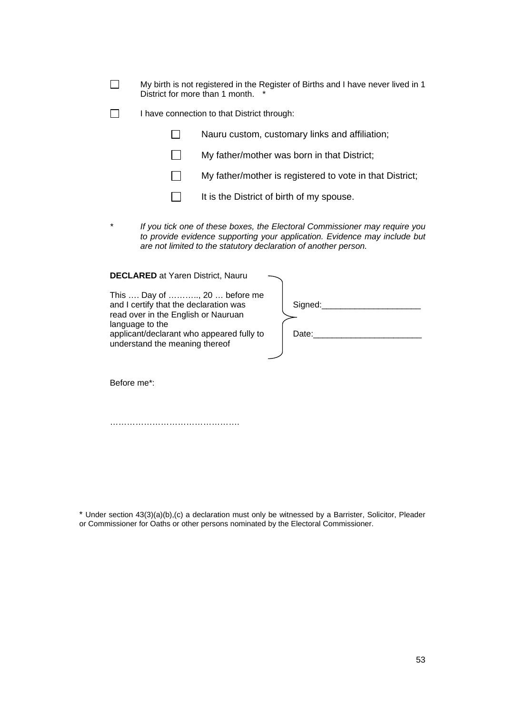| $\Box$ | My birth is not registered in the Register of Births and I have never lived in 1 |
|--------|----------------------------------------------------------------------------------|
|        | District for more than 1 month.                                                  |

I have connection to that District through:

 $\Box$ Nauru custom, customary links and affiliation;

- $\Box$  My father/mother was born in that District;
- $\Box$  My father/mother is registered to vote in that District;
- $\Box$  It is the District of birth of my spouse.
- *\* If you tick one of these boxes, the Electoral Commissioner may require you to provide evidence supporting your application. Evidence may include but are not limited to the statutory declaration of another person.*

**DECLARED** at Yaren District, Nauru

| This  Day of , 20  before me<br>and I certify that the declaration was<br>read over in the English or Nauruan<br>language to the<br>applicant/declarant who appeared fully to<br>understand the meaning thereof | Signed:<br>Date: |
|-----------------------------------------------------------------------------------------------------------------------------------------------------------------------------------------------------------------|------------------|
| Before me <sup>*</sup> :                                                                                                                                                                                        |                  |

……………………………………….

\* Under section 43(3)(a)(b),(c) a declaration must only be witnessed by a Barrister, Solicitor, Pleader or Commissioner for Oaths or other persons nominated by the Electoral Commissioner.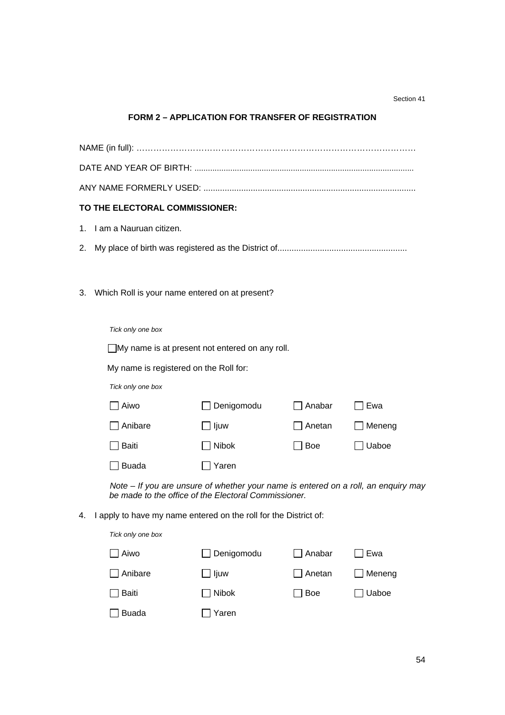#### Section 41

# **FORM 2 – APPLICATION FOR TRANSFER OF REGISTRATION**

|    | TO THE ELECTORAL COMMISSIONER:                                                                                                             |                                                                  |               |         |  |  |
|----|--------------------------------------------------------------------------------------------------------------------------------------------|------------------------------------------------------------------|---------------|---------|--|--|
|    | 1. I am a Nauruan citizen.                                                                                                                 |                                                                  |               |         |  |  |
| 2. |                                                                                                                                            |                                                                  |               |         |  |  |
|    |                                                                                                                                            |                                                                  |               |         |  |  |
| 3. |                                                                                                                                            | Which Roll is your name entered on at present?                   |               |         |  |  |
|    |                                                                                                                                            |                                                                  |               |         |  |  |
|    | Tick only one box                                                                                                                          |                                                                  |               |         |  |  |
|    |                                                                                                                                            | □My name is at present not entered on any roll.                  |               |         |  |  |
|    | My name is registered on the Roll for:                                                                                                     |                                                                  |               |         |  |  |
|    | Tick only one box                                                                                                                          |                                                                  |               |         |  |  |
|    | Aiwo                                                                                                                                       | Denigomodu                                                       | $\Box$ Anabar | Ewa     |  |  |
|    | Anibare                                                                                                                                    | $\bigsqcup$ ljuw                                                 | Anetan        | Meneng  |  |  |
|    | Baiti                                                                                                                                      | Nibok                                                            | $\exists$ Boe | ] Uaboe |  |  |
|    | <b>Buada</b>                                                                                                                               | ] Yaren                                                          |               |         |  |  |
|    | Note - If you are unsure of whether your name is entered on a roll, an enquiry may<br>be made to the office of the Electoral Commissioner. |                                                                  |               |         |  |  |
| 4. |                                                                                                                                            | I apply to have my name entered on the roll for the District of: |               |         |  |  |
|    | Tick only one box                                                                                                                          |                                                                  |               |         |  |  |
|    | Aiwo                                                                                                                                       | Denigomodu                                                       | Anabar        | Ewa     |  |  |
|    | Anibare                                                                                                                                    | ljuw                                                             | Anetan        | Meneng  |  |  |
|    | <b>Baiti</b>                                                                                                                               | Nibok                                                            | Boe           | Uaboe   |  |  |
|    | <b>Buada</b>                                                                                                                               | Yaren                                                            |               |         |  |  |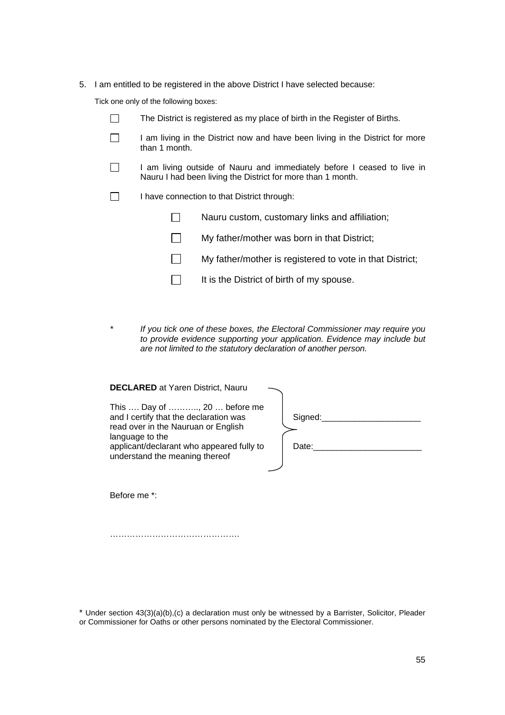5. I am entitled to be registered in the above District I have selected because:

Tick one only of the following boxes:

| $\mathbf{L}$ | The District is registered as my place of birth in the Register of Births.                                                             |                                                          |  |
|--------------|----------------------------------------------------------------------------------------------------------------------------------------|----------------------------------------------------------|--|
|              | I am living in the District now and have been living in the District for more<br>than 1 month.                                         |                                                          |  |
| $\perp$      | I am living outside of Nauru and immediately before I ceased to live in<br>Nauru I had been living the District for more than 1 month. |                                                          |  |
|              | I have connection to that District through:                                                                                            |                                                          |  |
|              |                                                                                                                                        | Nauru custom, customary links and affiliation;           |  |
|              |                                                                                                                                        | My father/mother was born in that District;              |  |
|              |                                                                                                                                        | My father/mother is registered to vote in that District; |  |
|              |                                                                                                                                        | It is the District of birth of my spouse.                |  |

*\* If you tick one of these boxes, the Electoral Commissioner may require you to provide evidence supporting your application. Evidence may include but are not limited to the statutory declaration of another person.*

| <b>DECLARED</b> at Yaren District, Nauru |  |
|------------------------------------------|--|
|------------------------------------------|--|

| This  Day of , 20  before me<br>and I certify that the declaration was<br>read over in the Nauruan or English | Signed: |
|---------------------------------------------------------------------------------------------------------------|---------|
| language to the<br>applicant/declarant who appeared fully to<br>understand the meaning thereof                | Date:   |

Before me \*:

……………………………………….

\* Under section 43(3)(a)(b),(c) a declaration must only be witnessed by a Barrister, Solicitor, Pleader or Commissioner for Oaths or other persons nominated by the Electoral Commissioner.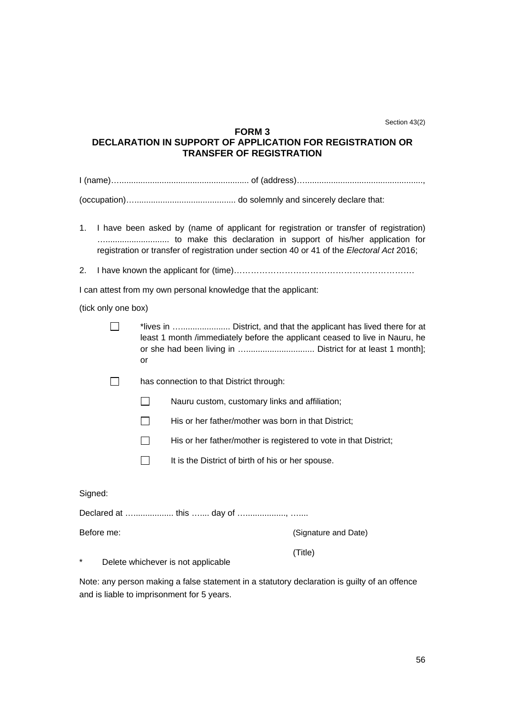Section 43(2)

## **FORM 3 DECLARATION IN SUPPORT OF APPLICATION FOR REGISTRATION OR TRANSFER OF REGISTRATION**

(occupation)…........................................... do solemnly and sincerely declare that:

- 1. I have been asked by (name of applicant for registration or transfer of registration) …........................... to make this declaration in support of his/her application for registration or transfer of registration under section 40 or 41 of the *Electoral Act* 2016;
- 2. I have known the applicant for (time)……………………………………………………….

I can attest from my own personal knowledge that the applicant:

(tick only one box)

Signed:

- \*lives in …..................... District, and that the applicant has lived there for at least 1 month /immediately before the applicant ceased to live in Nauru, he or she had been living in …............................. District for at least 1 month]; or
- □ has connection to that District through:
	- $\Box$  Nauru custom, customary links and affiliation;
	- $\Box$  His or her father/mother was born in that District;
	- $\Box$  His or her father/mother is registered to vote in that District;
	- $\Box$  It is the District of birth of his or her spouse.

| Before me: | (Signature and Date) |
|------------|----------------------|
|            | (Title)              |

\* Delete whichever is not applicable

Note: any person making a false statement in a statutory declaration is guilty of an offence and is liable to imprisonment for 5 years.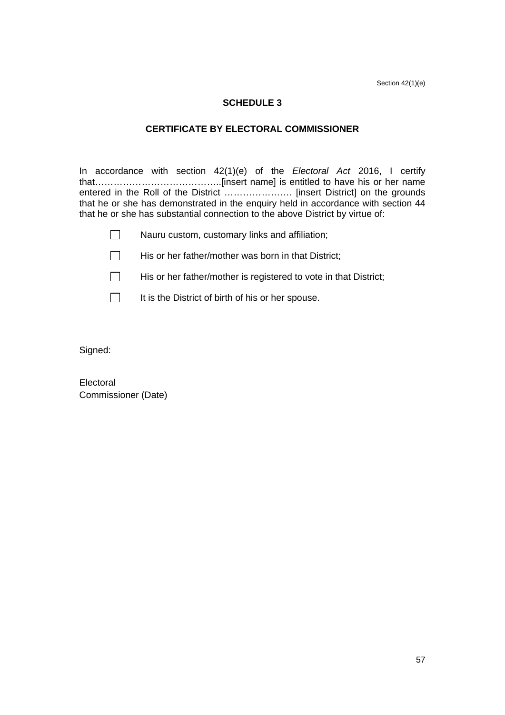Section 42(1)(e)

# **SCHEDULE 3**

## **CERTIFICATE BY ELECTORAL COMMISSIONER**

In accordance with section 42(1)(e) of the *Electoral Act* 2016, I certify that…………………………………..[insert name] is entitled to have his or her name entered in the Roll of the District …………………. [insert District] on the grounds that he or she has demonstrated in the enquiry held in accordance with section 44 that he or she has substantial connection to the above District by virtue of:

- $\Box$  His or her father/mother was born in that District;
- $\Box$  His or her father/mother is registered to vote in that District;
- $\Box$  It is the District of birth of his or her spouse.

Signed:

Electoral Commissioner (Date)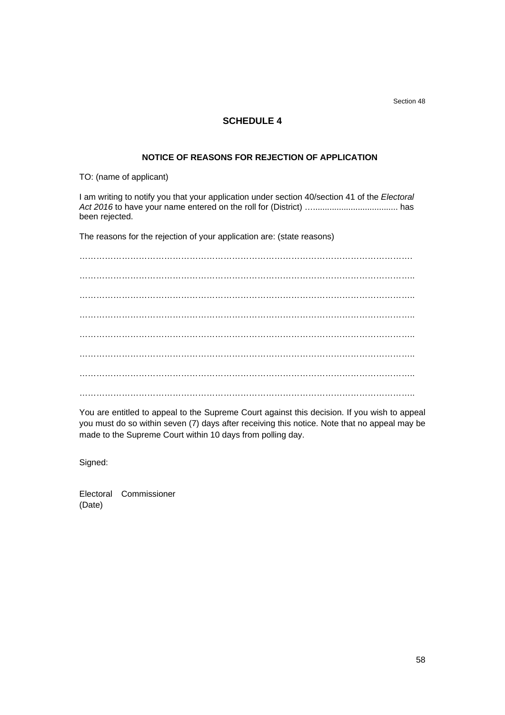Section 48

# **SCHEDULE 4**

#### **NOTICE OF REASONS FOR REJECTION OF APPLICATION**

TO: (name of applicant)

I am writing to notify you that your application under section 40/section 41 of the *Electoral Act 2016* to have your name entered on the roll for (District) ….................................... has been rejected.

The reasons for the rejection of your application are: (state reasons)

………………………………………………………………………………………………………. ……………………………………………………………………………………………………….. ………………………………………………………………………………………………………..  $\mathcal{L}^{\text{max}}_{\text{max}}$ ………………………………………………………………………………………………………..  $\mathcal{L}^{(n)}$  . The contract of the contract of the contract of the contract of the contract of the contract of the contract of the contract of the contract of the contract of the contract of the contract of the contract o ……………………………………………………………………………………………………….. ………………………………………………………………………………………………………..

You are entitled to appeal to the Supreme Court against this decision. If you wish to appeal you must do so within seven (7) days after receiving this notice. Note that no appeal may be made to the Supreme Court within 10 days from polling day.

Signed:

Electoral Commissioner (Date)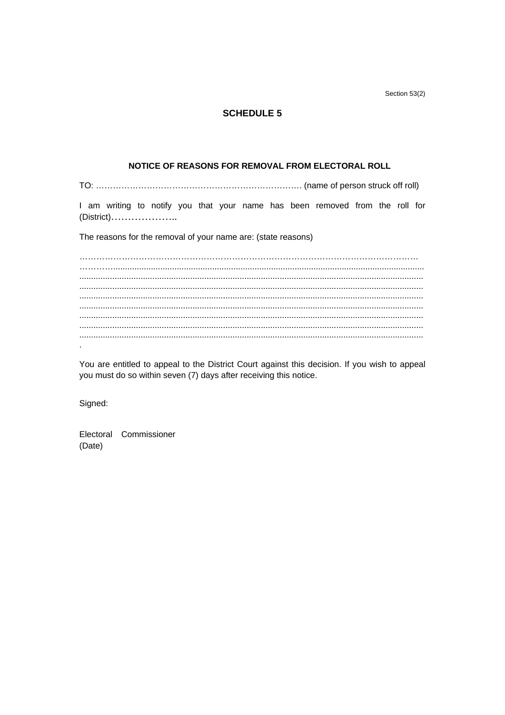Section 53(2)

## **SCHEDULE 5**

## NOTICE OF REASONS FOR REMOVAL FROM ELECTORAL ROLL

I am writing to notify you that your name has been removed from the roll for 

The reasons for the removal of your name are: (state reasons)

You are entitled to appeal to the District Court against this decision. If you wish to appeal you must do so within seven (7) days after receiving this notice.

Signed:

Electoral Commissioner (Date)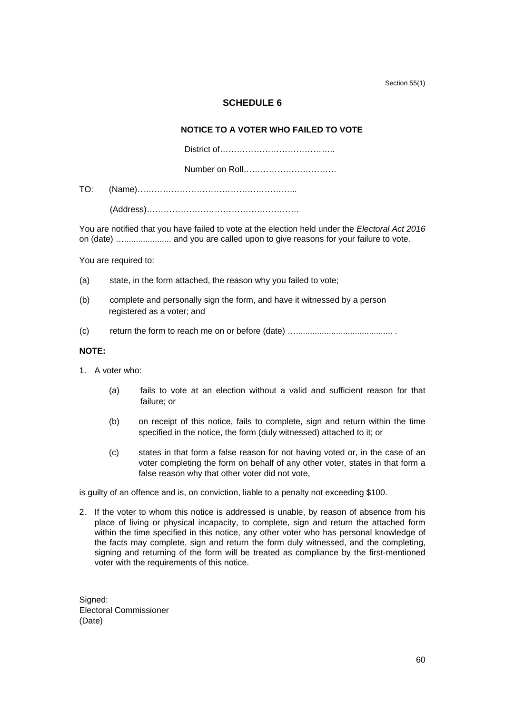Section 55(1)

# **SCHEDULE 6**

## **NOTICE TO A VOTER WHO FAILED TO VOTE**

District of…………………………………..

Number on Roll……………………………

TO: (Name)………………………………………………...

(Address)………………………………………………

You are notified that you have failed to vote at the election held under the *Electoral Act 2016*  on (date) ….................... and you are called upon to give reasons for your failure to vote.

You are required to:

- (a) state, in the form attached, the reason why you failed to vote;
- (b) complete and personally sign the form, and have it witnessed by a person registered as a voter; and
- (c) return the form to reach me on or before (date) …......................................... .

#### **NOTE:**

- 1. A voter who:
	- (a) fails to vote at an election without a valid and sufficient reason for that failure; or
	- (b) on receipt of this notice, fails to complete, sign and return within the time specified in the notice, the form (duly witnessed) attached to it; or
	- (c) states in that form a false reason for not having voted or, in the case of an voter completing the form on behalf of any other voter, states in that form a false reason why that other voter did not vote,

is guilty of an offence and is, on conviction, liable to a penalty not exceeding \$100.

2. If the voter to whom this notice is addressed is unable, by reason of absence from his place of living or physical incapacity, to complete, sign and return the attached form within the time specified in this notice, any other voter who has personal knowledge of the facts may complete, sign and return the form duly witnessed, and the completing, signing and returning of the form will be treated as compliance by the first-mentioned voter with the requirements of this notice.

Signed: Electoral Commissioner (Date)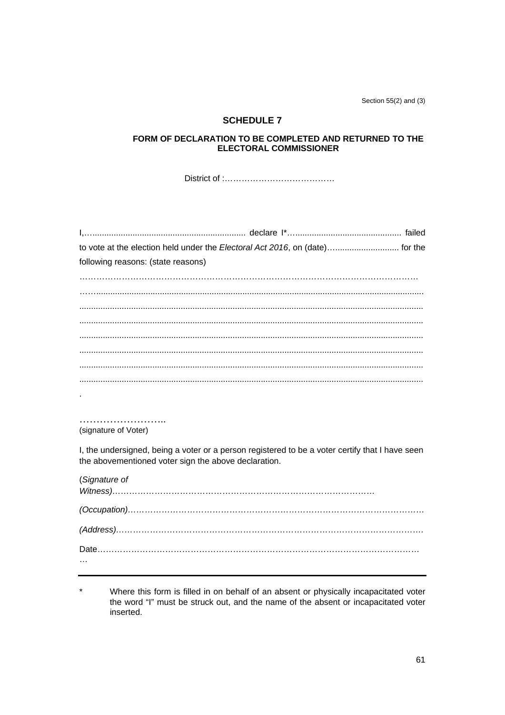Section 55(2) and (3)

#### **SCHEDULE 7**

## FORM OF DECLARATION TO BE COMPLETED AND RETURNED TO THE **ELECTORAL COMMISSIONER**

| to vote at the election held under the Electoral Act 2016, on (date) for the                                                                            |
|---------------------------------------------------------------------------------------------------------------------------------------------------------|
| following reasons: (state reasons)                                                                                                                      |
|                                                                                                                                                         |
|                                                                                                                                                         |
|                                                                                                                                                         |
|                                                                                                                                                         |
|                                                                                                                                                         |
|                                                                                                                                                         |
|                                                                                                                                                         |
|                                                                                                                                                         |
|                                                                                                                                                         |
|                                                                                                                                                         |
| (signature of Voter)                                                                                                                                    |
| I, the undersigned, being a voter or a person registered to be a voter certify that I have seen<br>the abovementioned voter sign the above declaration. |
| (Signature of                                                                                                                                           |

| $(Address) \dots $ |   |  |
|--------------------|---|--|
|                    |   |  |
|                    | . |  |

 $^\star$ Where this form is filled in on behalf of an absent or physically incapacitated voter the word "I" must be struck out, and the name of the absent or incapacitated voter inserted.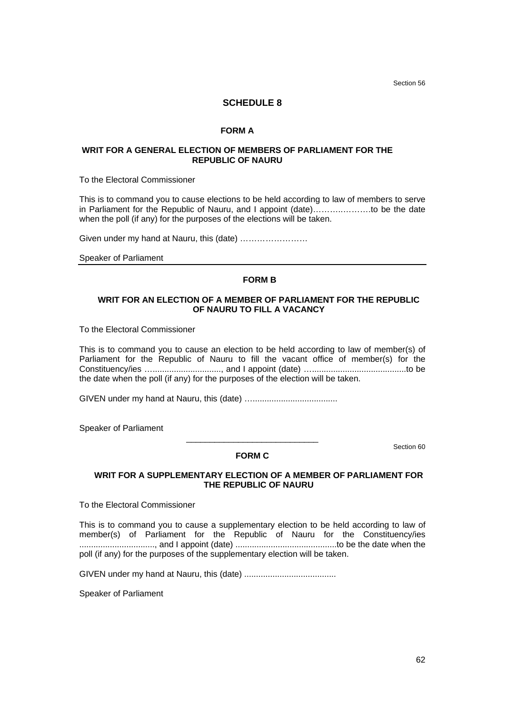Section 56

#### **SCHEDULE 8**

#### **FORM A**

#### **WRIT FOR A GENERAL ELECTION OF MEMBERS OF PARLIAMENT FOR THE REPUBLIC OF NAURU**

To the Electoral Commissioner

This is to command you to cause elections to be held according to law of members to serve in Parliament for the Republic of Nauru, and I appoint (date)………..……….to be the date when the poll (if any) for the purposes of the elections will be taken.

Given under my hand at Nauru, this (date) ……………………

Speaker of Parliament

#### **FORM B**

#### **WRIT FOR AN ELECTION OF A MEMBER OF PARLIAMENT FOR THE REPUBLIC OF NAURU TO FILL A VACANCY**

To the Electoral Commissioner

This is to command you to cause an election to be held according to law of member(s) of Parliament for the Republic of Nauru to fill the vacant office of member(s) for the Constituency/ies …............................., and I appoint (date) …........................................to be the date when the poll (if any) for the purposes of the election will be taken.

GIVEN under my hand at Nauru, this (date) …....................................

Speaker of Parliament

\_\_\_\_\_\_\_\_\_\_\_\_\_\_\_\_\_\_\_\_\_\_\_\_\_\_\_\_ Section 60

#### **FORM C**

#### **WRIT FOR A SUPPLEMENTARY ELECTION OF A MEMBER OF PARLIAMENT FOR THE REPUBLIC OF NAURU**

To the Electoral Commissioner

This is to command you to cause a supplementary election to be held according to law of member(s) of Parliament for the Republic of Nauru for the Constituency/ies ................................, and I appoint (date) ...........................................to be the date when the poll (if any) for the purposes of the supplementary election will be taken.

GIVEN under my hand at Nauru, this (date) .......................................

Speaker of Parliament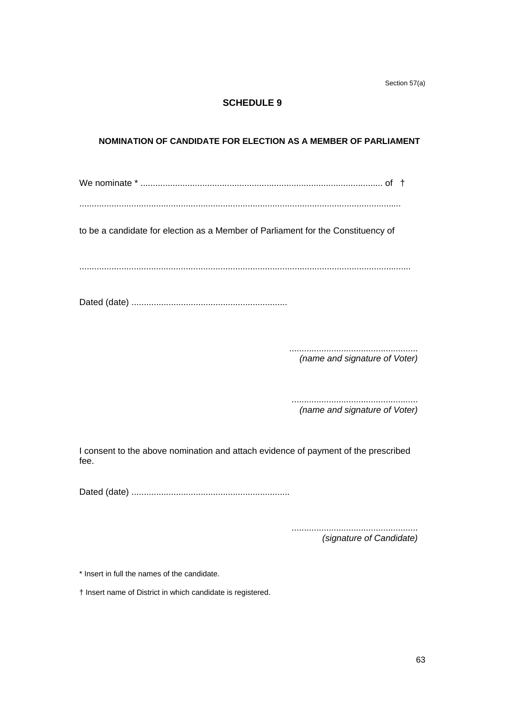Section 57(a)

# **SCHEDULE 9**

# **NOMINATION OF CANDIDATE FOR ELECTION AS A MEMBER OF PARLIAMENT**

We nominate \* .................................................................................................. of †

..................................................................................................................................

to be a candidate for election as a Member of Parliament for the Constituency of

......................................................................................................................................

Dated (date) ...............................................................

.................................................... *(name and signature of Voter)*

................................................... *(name and signature of Voter)*

I consent to the above nomination and attach evidence of payment of the prescribed fee.

Dated (date) ................................................................

................................................... *(signature of Candidate)*

\* Insert in full the names of the candidate.

† Insert name of District in which candidate is registered.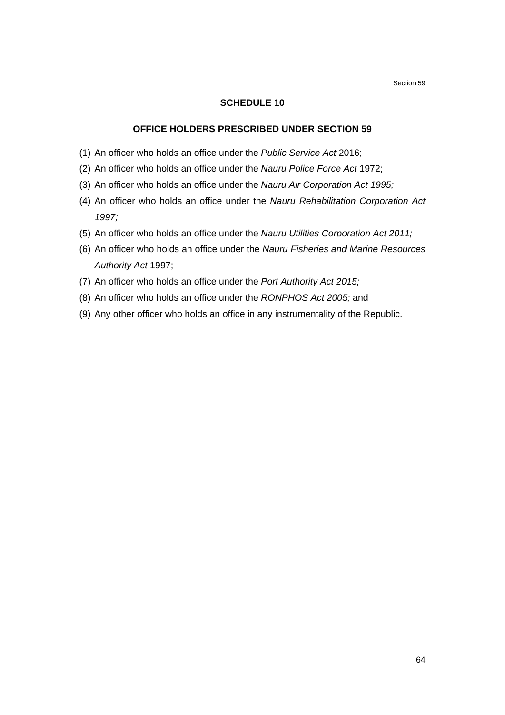Section 59

#### **SCHEDULE 10**

## **OFFICE HOLDERS PRESCRIBED UNDER SECTION 59**

- (1) An officer who holds an office under the *Public Service Act* 2016;
- (2) An officer who holds an office under the *Nauru Police Force Act* 1972;
- (3) An officer who holds an office under the *Nauru Air Corporation Act 1995;*
- (4) An officer who holds an office under the *Nauru Rehabilitation Corporation Act 1997;*
- (5) An officer who holds an office under the *Nauru Utilities Corporation Act 2011;*
- (6) An officer who holds an office under the *Nauru Fisheries and Marine Resources Authority Act* 1997;
- (7) An officer who holds an office under the *Port Authority Act 2015;*
- (8) An officer who holds an office under the *RONPHOS Act 2005;* and
- (9) Any other officer who holds an office in any instrumentality of the Republic.